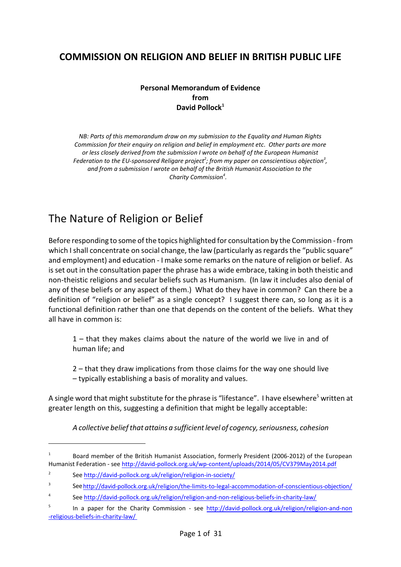## **COMMISSION ON RELIGION AND BELIEF IN BRITISH PUBLIC LIFE**

#### **Personal Memorandum of Evidence from David Pollock<sup>1</sup>**

*NB: Parts of this memorandum draw on my submission to the Equality and Human Rights Commission for their enquiry on religion and belief in employment etc. Other parts are more or less closely derived from the submission I wrote on behalf of the European Humanist Federation to the EU-sponsored Religare project<sup>2</sup> ; from my paper on conscientious objection 3 , and from a submission I wrote on behalf of the British Humanist Association to the Charity Commission 4 .* 

# The Nature of Religion or Belief

Before responding to some of the topics highlighted for consultation by the Commission - from which I shall concentrate on social change, the law (particularly as regards the "public square" and employment) and education - I make some remarks on the nature of religion or belief. As is set out in the consultation paper the phrase has a wide embrace, taking in both theistic and non-theistic religions and secular beliefs such as Humanism. (In law it includes also denial of any of these beliefs or any aspect of them.) What do they have in common? Can there be a definition of "religion or belief" as a single concept? I suggest there can, so long as it is a functional definition rather than one that depends on the content of the beliefs. What they all have in common is:

1 – that they makes claims about the nature of the world we live in and of human life; and

2 – that they draw implications from those claims for the way one should live – typically establishing a basis of morality and values.

A single word that might substitute for the phrase is "lifestance". I have elsewhere<sup>5</sup> written at greater length on this, suggesting a definition that might be legally acceptable:

*A collective beliefthat attains a sufficientlevel of cogency, seriousness, cohesion*

<sup>1</sup> Board member of the British Humanist Association, formerly President (2006-2012) of the European Humanist Federation - see<http://david-pollock.org.uk/wp-content/uploads/2014/05/CV379May2014.pdf>

<sup>2</sup> See<http://david-pollock.org.uk/religion/religion-in-society/>

<sup>3</sup> See[http://david-pollock.org.uk/religion/the-limits-to-legal-accommodation-of-conscientious-objection/](http://david-pollock.org.uk/religion/the-limits-to-legal-accommodation-of-conscientious-)

<sup>4</sup> See<http://david-pollock.org.uk/religion/religion-and-non-religious-beliefs-in-charity-law/>

<sup>5</sup> In a paper for the Charity Commission - see [http://david-pollock.org.uk/religion/religion-and-non](http://david-pollock.org.uk/religion/religion-and-non-religious-beliefs-in-charity-law/%20) [-religious-beliefs-in-charity-law/](http://david-pollock.org.uk/religion/religion-and-non-religious-beliefs-in-charity-law/%20)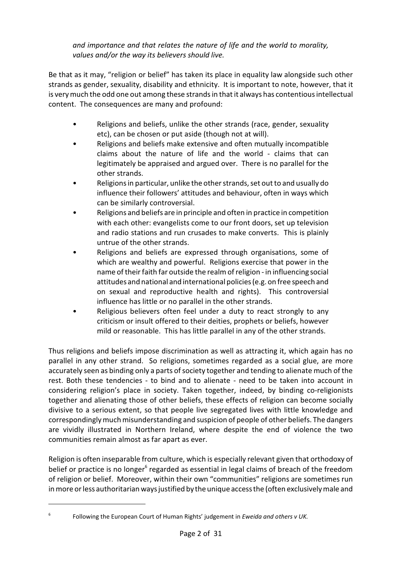*and importance and that relates the nature of life and the world to morality, values and/or the way its believers should live.*

Be that as it may, "religion or belief" has taken its place in equality law alongside such other strands as gender, sexuality, disability and ethnicity. It is important to note, however, that it is very much the odd one out among these strands in that it always has contentious intellectual content. The consequences are many and profound:

- Religions and beliefs, unlike the other strands (race, gender, sexuality etc), can be chosen or put aside (though not at will).
- Religions and beliefs make extensive and often mutually incompatible claims about the nature of life and the world - claims that can legitimately be appraised and argued over. There is no parallel for the other strands.
- Religions in particular, unlike the other strands, set out to and usually do influence their followers' attitudes and behaviour, often in ways which can be similarly controversial.
- Religions and beliefs are in principle and often in practice in competition with each other: evangelists come to our front doors, set up television and radio stations and run crusades to make converts. This is plainly untrue of the other strands.
- Religions and beliefs are expressed through organisations, some of which are wealthy and powerful. Religions exercise that power in the name of their faith far outside the realm ofreligion - in influencing social attitudes and national and international policies (e.g. on free speech and on sexual and reproductive health and rights). This controversial influence has little or no parallel in the other strands.
- Religious believers often feel under a duty to react strongly to any criticism or insult offered to their deities, prophets or beliefs, however mild or reasonable. This has little parallel in any of the other strands.

Thus religions and beliefs impose discrimination as well as attracting it, which again has no parallel in any other strand. So religions, sometimes regarded as a social glue, are more accurately seen as binding only a parts of society together and tending to alienate much of the rest. Both these tendencies - to bind and to alienate - need to be taken into account in considering religion's place in society. Taken together, indeed, by binding co-religionists together and alienating those of other beliefs, these effects of religion can become socially divisive to a serious extent, so that people live segregated lives with little knowledge and correspondingly much misunderstanding and suspicion of people of other beliefs. The dangers are vividly illustrated in Northern Ireland, where despite the end of violence the two communities remain almost as far apart as ever.

Religion is often inseparable from culture, which is especially relevant given that orthodoxy of belief or practice is no longer<sup>6</sup> regarded as essential in legal claims of breach of the freedom of religion or belief. Moreover, within their own "communities" religions are sometimes run inmore or less authoritarian ways justified by the unique access the (often exclusively male and

<sup>6</sup> Following the European Court of Human Rights' judgement in *Eweida and others v UK.*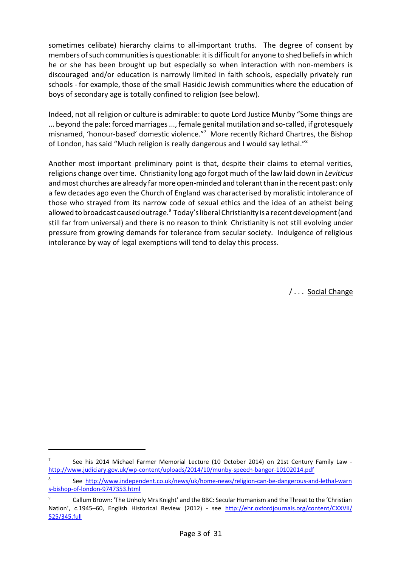sometimes celibate) hierarchy claims to all-important truths. The degree of consent by members of such communities is questionable: it is difficult for anyone to shed beliefs in which he or she has been brought up but especially so when interaction with non-members is discouraged and/or education is narrowly limited in faith schools, especially privately run schools - for example, those of the small Hasidic Jewish communities where the education of boys of secondary age is totally confined to religion (see below).

Indeed, not all religion or culture is admirable: to quote Lord Justice Munby "Some things are ... beyond the pale: forced marriages ..., female genital mutilation and so-called, if grotesquely misnamed, 'honour-based' domestic violence." <sup>7</sup> More recently Richard Chartres, the Bishop of London, has said "Much religion is really dangerous and I would say lethal."<sup>8</sup>

Another most important preliminary point is that, despite their claims to eternal verities, religions change over time. Christianity long ago forgot much of the law laid down in *Leviticus* and most churches are already far more open-minded and tolerant thaninthe recentpast: only a few decades ago even the Church of England was characterised by moralistic intolerance of those who strayed from its narrow code of sexual ethics and the idea of an atheist being allowed to broadcast caused outrage.<sup>9</sup> Today's liberal Christianity is a recent development (and still far from universal) and there is no reason to think Christianity is not still evolving under pressure from growing demands for tolerance from secular society. Indulgence of religious intolerance by way of legal exemptions will tend to delay this process.

/ . . . Social Change

<sup>7</sup> See his 2014 Michael Farmer Memorial Lecture (10 October 2014) on 21st Century Family Law <http://www.judiciary.gov.uk/wp-content/uploads/2014/10/munby-speech-bangor-10102014.pdf>

<sup>8</sup> See [http://www.independent.co.uk/news/uk/home-news/religion-can-be-dangerous-and-lethal-warn](http://www.independent.co.uk/news/uk/home-news/religion-can-be-dangerous-and-lethal-warns-bishop-of-london-9747353.html) [s-bishop-of-london-9747353.html](http://www.independent.co.uk/news/uk/home-news/religion-can-be-dangerous-and-lethal-warns-bishop-of-london-9747353.html)

<sup>9</sup> Callum Brown: 'The Unholy Mrs Knight' and the BBC: Secular Humanism and the Threat to the 'Christian Nation', c.1945–60, English Historical Review (2012) - see [http://ehr.oxfordjournals.org/content/CXXVII/](http://ehr.oxfordjournals.org/content/CXXVII/525/345.full) [525/345.full](http://ehr.oxfordjournals.org/content/CXXVII/525/345.full)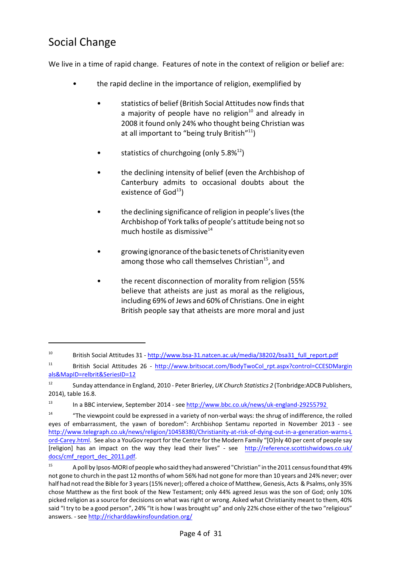# Social Change

We live in a time of rapid change. Features of note in the context of religion or belief are:

- the rapid decline in the importance of religion, exemplified by
	- statistics of belief (British Social Attitudes now finds that a majority of people have no religion<sup>10</sup> and already in 2008 it found only 24% who thought being Christian was at all important to "being truly British"<sup>11</sup>)
	- statistics of churchgoing (only  $5.8\%^{12}$ )
	- the declining intensity of belief (even the Archbishop of Canterbury admits to occasional doubts about the existence of God $^{13}$ )
	- the declining significance of religion in people's lives (the Archbishop of York talks of people's attitude being notso much hostile as dismissive<sup>14</sup>
	- growing ignorance of the basic tenets of Christianity even among those who call themselves Christian<sup>15</sup>, and
	- the recent disconnection of morality from religion (55% believe that atheists are just as moral as the religious, including 69% of Jews and 60% of Christians. One in eight British people say that atheists are more moral and just

<sup>10</sup> British Social Attitudes 31 - [http://www.bsa-31.natcen.ac.uk/media/38202/bsa31\\_full\\_report.pdf](http://www.bsa-31.natcen.ac.uk/media/38202/bsa31_full_report.pdf)

<sup>11</sup> British Social Attitudes 26 - [http://www.britsocat.com/BodyTwoCol\\_rpt.aspx?control=CCESDMargin](http://www.britsocat.com/BodyTwoCol_rpt.aspx?control=CCESDMarginals&MapID=relbrit&SeriesID=12) [als&MapID=relbrit&SeriesID=12](http://www.britsocat.com/BodyTwoCol_rpt.aspx?control=CCESDMarginals&MapID=relbrit&SeriesID=12)

<sup>12</sup> Sunday attendance in England, 2010 - Peter Brierley, *UK Church Statistics 2* (Tonbridge:ADCB Publishers, 2014), table 16.8.

<sup>&</sup>lt;sup>13</sup> In a BBC interview, September 2014 - see http://www.bbc.co.uk/news/uk-england-29255792

<sup>&</sup>lt;sup>14</sup> "The viewpoint could be expressed in a variety of non-verbal ways: the shrug of indifference, the rolled eyes of embarrassment, the yawn of boredom": Archbishop Sentamu reported in November 2013 - see [http://www.telegraph.co.uk/news/religion/10458380/Christianity-at-risk-of-dying-out-in-a-generation-warns-L](http://www.telegraph.co.uk/news/religion/10458380/Christianity-at-risk-of-dying-out-in-a-generation-warns-Lord-Carey.html) [ord-Carey.html](http://www.telegraph.co.uk/news/religion/10458380/Christianity-at-risk-of-dying-out-in-a-generation-warns-Lord-Carey.html). See also a YouGov report for the Centre for the Modern Family "[O]nly 40 per cent of people say [religion] has an impact on the way they lead their lives" - see [http://reference.scottishwidows.co.uk/](http://reference.scottishwidows.co.uk/docs/cmf_report_dec_2011.pdf) [docs/cmf\\_report\\_dec\\_2011.pdf](http://reference.scottishwidows.co.uk/docs/cmf_report_dec_2011.pdf).

<sup>15</sup> A poll by Ipsos-MORI of people who said they had answered"Christian" in the 2011 censusfound that 49% not gone to church in the past 12 months of whom 56% had not gone for more than 10 years and 24% never; over half had not read the Bible for 3 years(15% never); offered a choice of Matthew, Genesis, Acts & Psalms, only 35% chose Matthew as the first book of the New Testament; only 44% agreed Jesus was the son of God; only 10% picked religion as a source for decisions on what wasright or wrong. Asked what Christianity meant to them, 40% said "I try to be a good person", 24% "It is how I was brought up" and only 22% chose either of the two "religious" answers. - see<http://richarddawkinsfoundation.org/>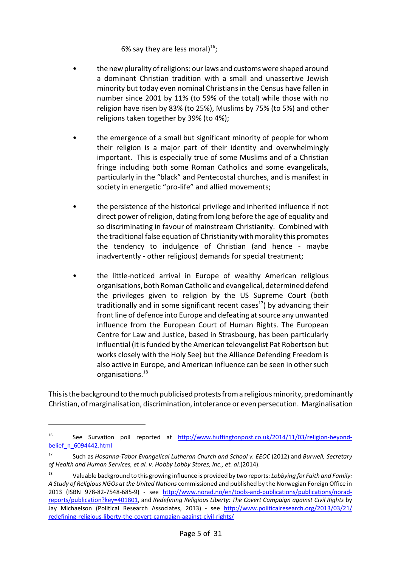6% say they are less moral)<sup>16</sup>;

- the new plurality of religions: our laws and customs were shaped around a dominant Christian tradition with a small and unassertive Jewish minority but today even nominal Christians in the Census have fallen in number since 2001 by 11% (to 59% of the total) while those with no religion have risen by 83% (to 25%), Muslims by 75% (to 5%) and other religions taken together by 39% (to 4%);
- the emergence of a small but significant minority of people for whom their religion is a major part of their identity and overwhelmingly important. This is especially true of some Muslims and of a Christian fringe including both some Roman Catholics and some evangelicals, particularly in the "black" and Pentecostal churches, and is manifest in society in energetic "pro-life" and allied movements;
- the persistence of the historical privilege and inherited influence if not direct power ofreligion, dating from long before the age of equality and so discriminating in favour of mainstream Christianity. Combined with the traditional false equation of Christianity with morality this promotes the tendency to indulgence of Christian (and hence - maybe inadvertently - other religious) demands for special treatment;
- the little-noticed arrival in Europe of wealthy American religious organisations, both Roman Catholic and evangelical, determined defend the privileges given to religion by the US Supreme Court (both traditionally and in some significant recent cases<sup>17</sup>) by advancing their front line of defence into Europe and defeating at source any unwanted influence from the European Court of Human Rights. The European Centre for Law and Justice, based in Strasbourg, has been particularly influential (it is funded by the American televangelist Pat Robertson but works closely with the Holy See) but the Alliance Defending Freedom is also active in Europe, and American influence can be seen in other such organisations. 18

This is the background to the much publicised protests from a religious minority, predominantly Christian, of marginalisation, discrimination, intolerance or even persecution. Marginalisation

<sup>&</sup>lt;sup>16</sup> See Survation poll reported at [http://www.huffingtonpost.co.uk/2014/11/03/religion-beyond](http://www.huffingtonpost.co.uk/2014/11/03/religion-beyond-belief_n_6094442.html%20%20)[belief\\_n\\_6094442.html](http://www.huffingtonpost.co.uk/2014/11/03/religion-beyond-belief_n_6094442.html%20%20) 

<sup>17</sup> Such as *Hosanna-Tabor Evangelical Lutheran Church and School v. EEOC* (2012) and *Burwell, Secretary of Health and Human Services, et al. v. Hobby Lobby Stores, Inc., et. al.*(2014).

<sup>18</sup> Valuable background to this growing influence is provided by two reports: *Lobbying for Faith and Family: A Study of Religious NGOs at the United Nations* commissioned and published by the Norwegian Foreign Office in 2013 (ISBN 978-82-7548-685-9) - see [http://www.norad.no/en/tools-and-publications/publications/norad](http://www.norad.no/en/tools-and-publications/publications/norad-reports/publication?key=401801)[reports/publication?key=401801](http://www.norad.no/en/tools-and-publications/publications/norad-reports/publication?key=401801), and *Redefining Religious Liberty: The Covert Campaign against Civil Rights* by Jay Michaelson (Political Research Associates, 2013) - see [http://www.politicalresearch.org/2013/03/21/](http://www.politicalresearch.org/2013/03/21/redefining-religious-liberty-the-covert-campaign-against-civil-rights) [redefining-religious-liberty-the-covert-campaign-against-civil-rights/](http://www.politicalresearch.org/2013/03/21/redefining-religious-liberty-the-covert-campaign-against-civil-rights)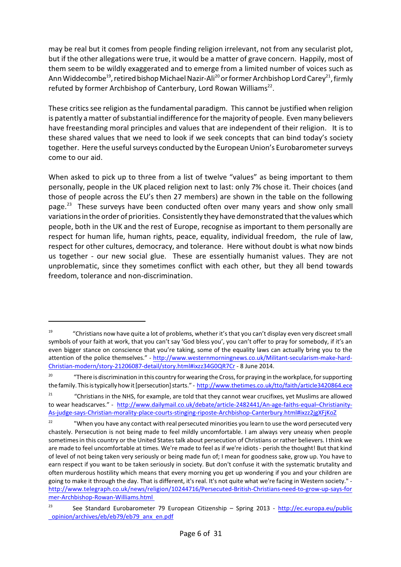may be real but it comes from people finding religion irrelevant, not from any secularist plot, but if the other allegations were true, it would be a matter of grave concern. Happily, most of them seem to be wildly exaggerated and to emerge from a limited number of voices such as Ann Widdecombe $^{19}$ , retired bishop Michael Nazir-Ali $^{20}$  or former Archbishop Lord Carey $^{21}$ , firmly refuted by former Archbishop of Canterbury, Lord Rowan Williams<sup>22</sup>.

These critics see religion as the fundamental paradigm. This cannot be justified when religion is patently a matter of substantial indifference for the majority of people. Even many believers have freestanding moral principles and values that are independent of their religion. It is to these shared values that we need to look if we seek concepts that can bind today's society together. Here the useful surveys conducted by the European Union's Eurobarometer surveys come to our aid.

When asked to pick up to three from a list of twelve "values" as being important to them personally, people in the UK placed religion next to last: only 7% chose it. Their choices (and those of people across the EU's then 27 members) are shown in the table on the following page.<sup>23</sup> These surveys have been conducted often over many years and show only small variations inthe order of priorities. Consistently they have demonstrated thatthe values which people, both in the UK and the rest of Europe, recognise as important to them personally are respect for human life, human rights, peace, equality, individual freedom, the rule of law, respect for other cultures, democracy, and tolerance. Here without doubt is what now binds us together - our new social glue. These are essentially humanist values. They are not unproblematic, since they sometimes conflict with each other, but they all bend towards freedom, tolerance and non-discrimination.

<sup>19</sup> "Christians now have quite a lot of problems, whether it'sthat you can't display even very discreet small symbols of your faith at work, that you can't say 'God bless you', you can't offer to pray for somebody, if it's an even bigger stance on conscience that you're taking, some of the equality laws can actually bring you to the attention of the police themselves." - [http://www.westernmorningnews.co.uk/Militant-secularism-make-hard-](http://www.westernmorningnews.co.uk/Militant-secularism-make-hard-Christian-modern/story-21206087-detail/story.html#ixzz34G0QR7Cr)[Christian-modern/story-21206087-detail/story.html#ixzz34G0QR7Cr](http://www.westernmorningnews.co.uk/Militant-secularism-make-hard-Christian-modern/story-21206087-detail/story.html#ixzz34G0QR7Cr) - 8 June 2014.

<sup>&</sup>lt;sup>20</sup> "There is discrimination in this country for wearing the Cross, for praying in the workplace, for supporting the family. This is typically how it [persecution] starts." - <http://www.thetimes.co.uk/tto/faith/article3420864.ece>

<sup>&</sup>lt;sup>21</sup> "Christians in the NHS, for example, are told that they cannot wear crucifixes, yet Muslims are allowed to wear headscarves." - [http://www.dailymail.co.uk/debate/article-2482441/An-age-faiths-equal–Christianity-](http://www.dailymail.co.uk/debate/article-2482441/An-age-faiths-equal--Christianity-As-judge-says-Christian-morality-place-courts-stinging-riposte-Archbishop-Canterbury.html#ixzz2jgXFjKoZ)[As-judge-says-Christian-morality-place-courts-stinging-riposte-Archbishop-Canterbury.html#ixzz2jgXFjKoZ](http://www.dailymail.co.uk/debate/article-2482441/An-age-faiths-equal--Christianity-As-judge-says-Christian-morality-place-courts-stinging-riposte-Archbishop-Canterbury.html#ixzz2jgXFjKoZ)

<sup>&</sup>lt;sup>22</sup> "When you have any contact with real persecuted minorities you learn to use the word persecuted very chastely. Persecution is not being made to feel mildly uncomfortable. I am always very uneasy when people sometimes in this country or the United States talk about persecution of Christians or rather believers. I think we are made to feel uncomfortable at times. We're made to feel as if we're idiots - perish the thought! But that kind of level of not being taken very seriously or being made fun of; I mean for goodness sake, grow up. You have to earn respect if you want to be taken seriously in society. But don't confuse it with the systematic brutality and often murderous hostility which means that every morning you get up wondering if you and your children are going to make it through the day. That is different, it's real. It's not quite what we're facing in Western society." [http://www.telegraph.co.uk/news/religion/10244716/Persecuted-British-Christians-need-to-grow-up-says-for](http://www.telegraph.co.uk/news/religion/10244716/Persecuted-British-Christians-need-to-grow-up-says-former-Archbishop-Rowan-Williams.html%20) [mer-Archbishop-Rowan-Williams.html](http://www.telegraph.co.uk/news/religion/10244716/Persecuted-British-Christians-need-to-grow-up-says-former-Archbishop-Rowan-Williams.html%20) 

<sup>&</sup>lt;sup>23</sup> See Standard Eurobarometer 79 European Citizenship – Spring 2013 - [http://ec.europa.eu/public](http://ec.europa.eu/public_opinion/archives/eb/eb79/eb79_anx_en.pdf) [\\_opinion/archives/eb/eb79/eb79\\_anx\\_en.pdf](http://ec.europa.eu/public_opinion/archives/eb/eb79/eb79_anx_en.pdf)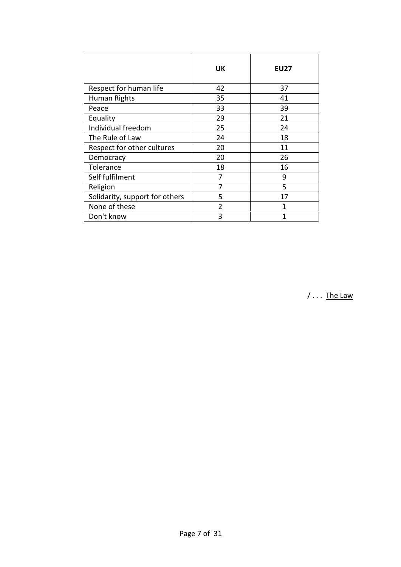|                                | <b>UK</b>     | <b>EU27</b> |
|--------------------------------|---------------|-------------|
| Respect for human life         | 42            | 37          |
| Human Rights                   | 35            | 41          |
| Peace                          | 33            | 39          |
| Equality                       | 29            | 21          |
| Individual freedom             | 25            | 24          |
| The Rule of Law                | 24            | 18          |
| Respect for other cultures     | 20            | 11          |
| Democracy                      | 20            | 26          |
| Tolerance                      | 18            | 16          |
| Self fulfilment                | 7             | 9           |
| Religion                       |               | 5           |
| Solidarity, support for others | 5             | 17          |
| None of these                  | $\mathcal{P}$ | 1           |
| Don't know                     | 3             |             |

 $/ \dots$  The Law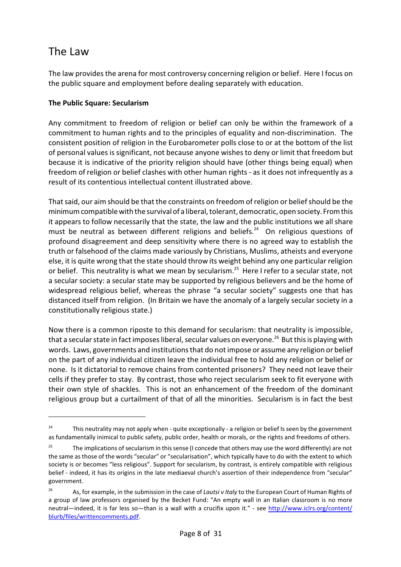# The Law

The law provides the arena for most controversy concerning religion or belief. Here I focus on the public square and employment before dealing separately with education.

### **The Public Square: Secularism**

Any commitment to freedom of religion or belief can only be within the framework of a commitment to human rights and to the principles of equality and non-discrimination. The consistent position of religion in the Eurobarometer polls close to or at the bottom of the list of personal values is significant, not because anyone wishes to deny or limit that freedom but because it is indicative of the priority religion should have (other things being equal) when freedom of religion or belief clashes with other human rights - as it does not infrequently as a result of its contentious intellectual content illustrated above.

That said, our aim should be that the constraints on freedom of religion or belief should be the minimum compatible with the survival of a liberal, tolerant, democratic, open society. Fromthis it appears to follow necessarily that the state, the law and the public institutions we all share must be neutral as between different religions and beliefs.<sup>24</sup> On religious questions of profound disagreement and deep sensitivity where there is no agreed way to establish the truth or falsehood of the claims made variously by Christians, Muslims, atheists and everyone else, it is quite wrong that the state should throw its weight behind any one particular religion or belief. This neutrality is what we mean by secularism.<sup>25</sup> Here I refer to a secular state, not a secular society: a secular state may be supported by religious believers and be the home of widespread religious belief, whereas the phrase "a secular society" suggests one that has distanced itself from religion. (In Britain we have the anomaly of a largely secular society in a constitutionally religious state.)

Now there is a common riposte to this demand for secularism: that neutrality is impossible, that a secular state in fact imposes liberal, secular values on everyone. $^{26}$  But this is playing with words. Laws, governments and institutions that do not impose or assume any religion or belief on the part of any individual citizen leave the individual free to hold any religion or belief or none. Is it dictatorial to remove chains from contented prisoners? They need not leave their cells if they prefer to stay. By contrast, those who reject secularism seek to fit everyone with their own style of shackles. This is not an enhancement of the freedom of the dominant religious group but a curtailment of that of all the minorities. Secularism is in fact the best

<sup>&</sup>lt;sup>24</sup> This neutrality may not apply when - quite exceptionally - a religion or belief Is seen by the government as fundamentally inimical to public safety, public order, health or morals, or the rights and freedoms of others.

<sup>&</sup>lt;sup>25</sup> The implications of secularism in this sense (I concede that others may use the word differently) are not the same as those of the words "secular" or "secularisation", which typically have to do with the extent to which society is or becomes "less religious". Support for secularism, by contrast, is entirely compatible with religious belief - indeed, it has its origins in the late mediaeval church's assertion of their independence from "secular" government.

<sup>26</sup> As, for example, in the submission in the case of *Lautsi v Italy* to the European Court of Human Rights of a group of law professors organised by the Becket Fund: "An empty wall in an Italian classroom is no more neutral—indeed, it is far less so—than is a wall with a crucifix upon it." - see [http://www.iclrs.org/content/](http://www.iclrs.org/content/blurb/files/writtencomments.pdf) [blurb/files/writtencomments.pdf](http://www.iclrs.org/content/blurb/files/writtencomments.pdf).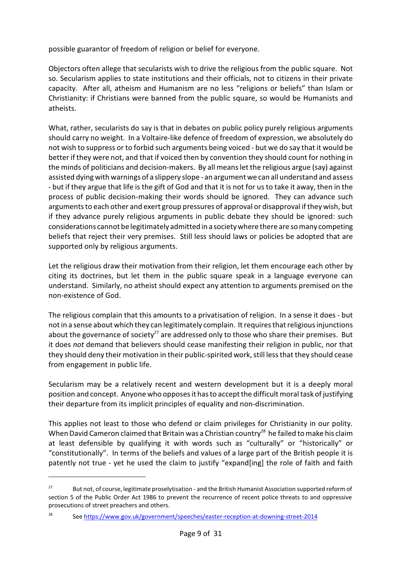possible guarantor of freedom of religion or belief for everyone.

Objectors often allege that secularists wish to drive the religious from the public square. Not so. Secularism applies to state institutions and their officials, not to citizens in their private capacity. After all, atheism and Humanism are no less "religions or beliefs" than Islam or Christianity: if Christians were banned from the public square, so would be Humanists and atheists.

What, rather, secularists do say is that in debates on public policy purely religious arguments should carry no weight. In a Voltaire-like defence of freedom of expression, we absolutely do not wish to suppress or to forbid such arguments being voiced - but we do say that it would be better if they were not, and that if voiced then by convention they should count for nothing in the minds of politicians and decision-makers. By all means let the religious argue (say) against assisted dying with warnings of a slippery slope - an argument we can all understand and assess - but if they argue that life is the gift of God and that it is not for us to take it away, then in the process of public decision-making their words should be ignored. They can advance such arguments to each other and exert group pressures of approval or disapproval ifthey wish, but if they advance purely religious arguments in public debate they should be ignored: such considerations cannot be legitimately admitted in a society where there are so many competing beliefs that reject their very premises. Still less should laws or policies be adopted that are supported only by religious arguments.

Let the religious draw their motivation from their religion, let them encourage each other by citing its doctrines, but let them in the public square speak in a language everyone can understand. Similarly, no atheist should expect any attention to arguments premised on the non-existence of God.

The religious complain that this amounts to a privatisation of religion. In a sense it does - but notin a sense about which they can legitimately complain. Itrequires thatreligious injunctions about the governance of society<sup>27</sup> are addressed only to those who share their premises. But it does *not* demand that believers should cease manifesting their religion in public, nor that they should deny their motivation in their public-spirited work, still less that they should cease from engagement in public life.

Secularism may be a relatively recent and western development but it is a deeply moral position and concept. Anyone who opposes it has to accept the difficult moral task of justifying their departure from its implicit principles of equality and non-discrimination.

This applies not least to those who defend or claim privileges for Christianity in our polity. When David Cameron claimed that Britain was a Christian country<sup>28</sup> he failed to make his claim at least defensible by qualifying it with words such as "culturally" or "historically" or "constitutionally". In terms of the beliefs and values of a large part of the British people it is patently not true - yet he used the claim to justify "expand[ing] the role of faith and faith

<sup>&</sup>lt;sup>27</sup> But not, of course, legitimate proselytisation - and the British Humanist Association supported reform of section 5 of the Public Order Act 1986 to prevent the recurrence of recent police threats to and oppressive prosecutions of street preachers and others.

<sup>28</sup> See<https://www.gov.uk/government/speeches/easter-reception-at-downing-street-2014>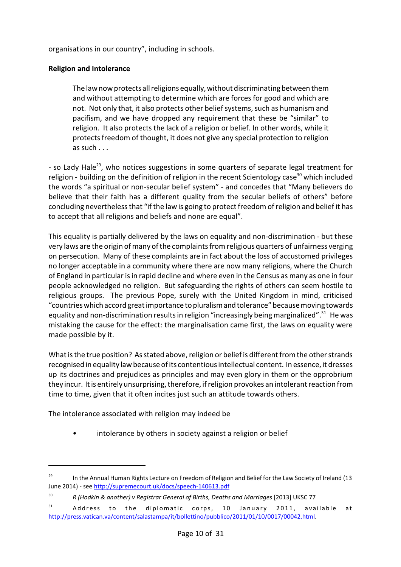organisations in our country", including in schools.

#### **Religion and Intolerance**

The lawnowprotects all religions equally, without discriminating between them and without attempting to determine which are forces for good and which are not. Not only that, it also protects other belief systems, such as humanism and pacifism, and we have dropped any requirement that these be "similar" to religion. It also protects the lack of a religion or belief. In other words, while it protectsfreedom of thought, it does not give any special protection to religion as such  $\ldots$ 

- so Lady Hale<sup>29</sup>, who notices suggestions in some quarters of separate legal treatment for religion - building on the definition of religion in the recent Scientology case<sup>30</sup> which included the words "a spiritual or non-secular belief system" - and concedes that "Many believers do believe that their faith has a different quality from the secular beliefs of others" before concluding nevertheless that "if the law is going to protect freedom of religion and belief it has to accept that all religions and beliefs and none are equal".

This equality is partially delivered by the laws on equality and non-discrimination - but these very laws are the origin of many of the complaints from religious quarters of unfairness verging on persecution. Many of these complaints are in fact about the loss of accustomed privileges no longer acceptable in a community where there are now many religions, where the Church of England in particular is in rapid decline and where even in the Census as many as one in four people acknowledged no religion. But safeguarding the rights of others can seem hostile to religious groups. The previous Pope, surely with the United Kingdom in mind, criticised "countries which accord greatimportance topluralismandtolerance" because moving towards equality and non-discrimination results in religion "increasingly being marginalized".<sup>31</sup> He was mistaking the cause for the effect: the marginalisation came first, the laws on equality were made possible by it.

What is the true position? As stated above, religion or belief is different from the other strands recognised in equality law because of its contentious intellectual content. In essence, it dresses up its doctrines and prejudices as principles and may even glory in them or the opprobrium they incur. It is entirely unsurprising, therefore, if religion provokes an intolerant reaction from time to time, given that it often incites just such an attitude towards others.

The intolerance associated with religion may indeed be

intolerance by others in society against a religion or belief

<sup>&</sup>lt;sup>29</sup> In the Annual Human Rights Lecture on Freedom of Religion and Belief for the Law Society of Ireland (13 June 2014) - see<http://supremecourt.uk/docs/speech-140613.pdf>

<sup>30</sup> *R (Hodkin & another) v Registrar General of Births, Deaths and Marriages* [2013] UKSC 77

 $31$  Address to the diplomatic corps, 10 January 2011, available at <http://press.vatican.va/content/salastampa/it/bollettino/pubblico/2011/01/10/0017/00042.html>.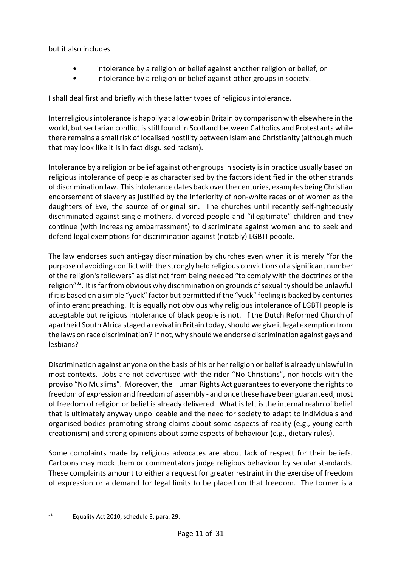but it also includes

- intolerance by a religion or belief against another religion or belief, or
- intolerance by a religion or belief against other groups in society.

I shall deal first and briefly with these latter types of religious intolerance.

Interreligious intolerance is happily at a low ebb in Britain by comparison with elsewhere in the world, but sectarian conflict is still found in Scotland between Catholics and Protestants while there remains a small risk of localised hostility between Islam and Christianity (although much that may look like it is in fact disguised racism).

Intolerance by a religion or belief against other groups in society is in practice usually based on religious intolerance of people as characterised by the factors identified in the other strands of discrimination law. This intolerance dates back over the centuries, examples being Christian endorsement of slavery as justified by the inferiority of non-white races or of women as the daughters of Eve, the source of original sin. The churches until recently self-righteously discriminated against single mothers, divorced people and "illegitimate" children and they continue (with increasing embarrassment) to discriminate against women and to seek and defend legal exemptions for discrimination against (notably) LGBTI people.

The law endorses such anti-gay discrimination by churches even when it is merely "for the purpose of avoiding conflict with the strongly held religious convictions of a significant number of the religion's followers" as distinct from being needed "to comply with the doctrines of the religion"<sup>32</sup>. It is far from obvious why discrimination on grounds of sexuality should be unlawful if it is based on a simple "yuck" factor but permitted if the "yuck" feeling is backed by centuries of intolerant preaching. It is equally not obvious why religious intolerance of LGBTI people is acceptable but religious intolerance of black people is not. If the Dutch Reformed Church of apartheid South Africa staged a revival in Britain today, should we give it legal exemption from the laws on race discrimination? If not, why should we endorse discrimination against gays and lesbians?

Discrimination against anyone on the basis of his or her religion or belief is already unlawful in most contexts. Jobs are not advertised with the rider "No Christians", nor hotels with the proviso "No Muslims". Moreover, the Human Rights Act guarantees to everyone the rights to freedom of expression and freedom of assembly - and once these have been guaranteed, most of freedom of religion or belief is already delivered. What is left is the internal realm of belief that is ultimately anyway unpoliceable and the need for society to adapt to individuals and organised bodies promoting strong claims about some aspects of reality (e.g., young earth creationism) and strong opinions about some aspects of behaviour (e.g., dietary rules).

Some complaints made by religious advocates are about lack of respect for their beliefs. Cartoons may mock them or commentators judge religious behaviour by secular standards. These complaints amount to either a request for greater restraint in the exercise of freedom of expression or a demand for legal limits to be placed on that freedom. The former is a

<sup>&</sup>lt;sup>32</sup> Equality Act 2010, schedule 3, para. 29.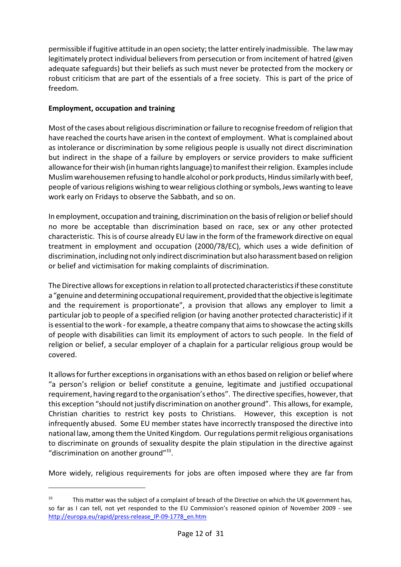permissible if fugitive attitude in an open society; the latter entirely inadmissible. The lawmay legitimately protect individual believers from persecution or from incitement of hatred (given adequate safeguards) but their beliefs as such must never be protected from the mockery or robust criticism that are part of the essentials of a free society. This is part of the price of freedom.

### **Employment, occupation and training**

Most of the cases about religious discrimination or failure to recognise freedom of religion that have reached the courts have arisen in the context of employment. What is complained about as intolerance or discrimination by some religious people is usually not direct discrimination but indirect in the shape of a failure by employers or service providers to make sufficient allowance for their wish (in human rights language) to manifesttheir religion. Examples include Muslim warehousemen refusing to handle alcohol or pork products, Hindus similarly with beef, people of various religions wishing to wear religious clothing or symbols, Jews wanting to leave work early on Fridays to observe the Sabbath, and so on.

In employment, occupation and training, discrimination on the basis ofreligion or beliefshould no more be acceptable than discrimination based on race, sex or any other protected characteristic. This is of course already EU law in the form of the framework directive on equal treatment in employment and occupation (2000/78/EC), which uses a wide definition of discrimination, including not only indirect discrimination but also harassment based on religion or belief and victimisation for making complaints of discrimination.

The Directive allows for exceptions in relation to all protected characteristics ifthese constitute a "genuine and determining occupational requirement, provided that the objective is legitimate and the requirement is proportionate", a provision that allows any employer to limit a particular job to people of a specified religion (or having another protected characteristic) if it is essential to the work - for example, a theatre company that aims to showcase the acting skills of people with disabilities can limit its employment of actors to such people. In the field of religion or belief, a secular employer of a chaplain for a particular religious group would be covered.

It allowsfor further exceptions in organisations with an ethos based on religion or belief where "a person's religion or belief constitute a genuine, legitimate and justified occupational requirement, having regard to the organisation's ethos". The directive specifies, however, that this exception "should not justify discrimination on another ground". This allows, for example, Christian charities to restrict key posts to Christians. However, this exception is not infrequently abused. Some EU member states have incorrectly transposed the directive into national law, among them the United Kingdom. Our regulations permitreligious organisations to discriminate on grounds of sexuality despite the plain stipulation in the directive against "discrimination on another ground"<sup>33</sup>.

More widely, religious requirements for jobs are often imposed where they are far from

<sup>&</sup>lt;sup>33</sup> This matter was the subject of a complaint of breach of the Directive on which the UK government has, so far as I can tell, not yet responded to the EU Commission's reasoned opinion of November 2009 - see [http://europa.eu/rapid/press-release\\_IP-09-1778\\_en.htm](http://europa.eu/rapid/press-release_IP-09-1778_en.htm)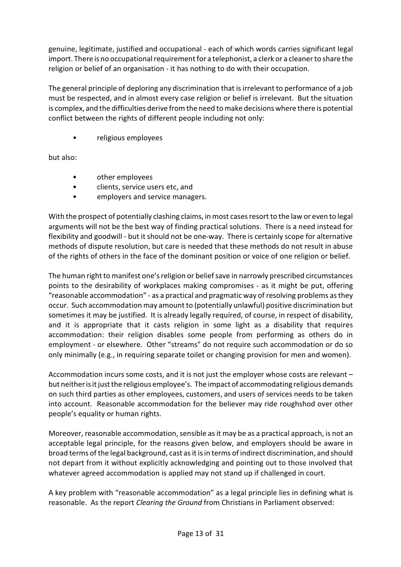genuine, legitimate, justified and occupational - each of which words carries significant legal import. There is no occupational requirementfor a telephonist, a clerk or a cleaner to share the religion or belief of an organisation - it has nothing to do with their occupation.

The general principle of deploring any discrimination that is irrelevant to performance of a job must be respected, and in almost every case religion or belief is irrelevant. But the situation is complex, and the difficulties derive from the need to make decisions where there is potential conflict between the rights of different people including not only:

• religious employees

but also:

- other employees
- clients, service users etc, and
- employers and service managers.

With the prospect of potentially clashing claims, in most cases resort to the law or even to legal arguments will not be the best way of finding practical solutions. There is a need instead for flexibility and goodwill - but it should not be one-way. There is certainly scope for alternative methods of dispute resolution, but care is needed that these methods do not result in abuse of the rights of others in the face of the dominant position or voice of one religion or belief.

The human right to manifest one's religion or belief save in narrowly prescribed circumstances points to the desirability of workplaces making compromises - as it might be put, offering "reasonable accommodation" - as a practical and pragmatic way of resolving problems as they occur. Such accommodation may amount to (potentially unlawful) positive discrimination but sometimes it may be justified. It is already legally required, of course, in respect of disability, and it is appropriate that it casts religion in some light as a disability that requires accommodation: their religion disables some people from performing as others do in employment - or elsewhere. Other "streams" do not require such accommodation or do so only minimally (e.g., in requiring separate toilet or changing provision for men and women).

Accommodation incurs some costs, and it is not just the employer whose costs are relevant – but neither is it just the religious employee's. The impact of accommodating religious demands on such third parties as other employees, customers, and users of services needs to be taken into account. Reasonable accommodation for the believer may ride roughshod over other people's equality or human rights.

Moreover, reasonable accommodation, sensible as it may be as a practical approach, is not an acceptable legal principle, for the reasons given below, and employers should be aware in broad terms of the legal background, cast as itisin terms of indirect discrimination, and should not depart from it without explicitly acknowledging and pointing out to those involved that whatever agreed accommodation is applied may not stand up if challenged in court.

A key problem with "reasonable accommodation" as a legal principle lies in defining what is reasonable. As the report *Clearing the Ground* from Christians in Parliament observed: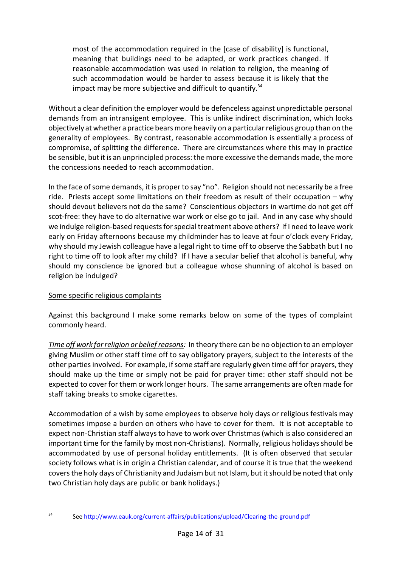most of the accommodation required in the [case of disability] is functional, meaning that buildings need to be adapted, or work practices changed. If reasonable accommodation was used in relation to religion, the meaning of such accommodation would be harder to assess because it is likely that the impact may be more subjective and difficult to quantify. $34$ 

Without a clear definition the employer would be defenceless against unpredictable personal demands from an intransigent employee. This is unlike indirect discrimination, which looks objectively at whether a practice bears more heavily on a particular religious group than on the generality of employees. By contrast, reasonable accommodation is essentially a process of compromise, of splitting the difference. There are circumstances where this may in practice be sensible, but it is an unprincipled process: the more excessive the demands made, the more the concessions needed to reach accommodation.

In the face of some demands, it is proper to say "no". Religion should not necessarily be a free ride. Priests accept some limitations on their freedom as result of their occupation – why should devout believers not do the same? Conscientious objectors in wartime do not get off scot-free: they have to do alternative war work or else go to jail. And in any case why should we indulge religion-based requests for special treatment above others? If I need to leave work early on Friday afternoons because my childminder has to leave at four o'clock every Friday, why should my Jewish colleague have a legal right to time off to observe the Sabbath but I no right to time off to look after my child? If I have a secular belief that alcohol is baneful, why should my conscience be ignored but a colleague whose shunning of alcohol is based on religion be indulged?

#### Some specific religious complaints

Against this background I make some remarks below on some of the types of complaint commonly heard.

*Time off work for religion or belief reasons:* In theory there can be no objection to an employer giving Muslim or other staff time off to say obligatory prayers, subject to the interests of the other parties involved. For example, if some staff are regularly given time off for prayers, they should make up the time or simply not be paid for prayer time: other staff should not be expected to cover for them or work longer hours. The same arrangements are often made for staff taking breaks to smoke cigarettes.

Accommodation of a wish by some employees to observe holy days or religious festivals may sometimes impose a burden on others who have to cover for them. It is not acceptable to expect non-Christian staff always to have to work over Christmas (which is also considered an important time for the family by most non-Christians). Normally, religious holidays should be accommodated by use of personal holiday entitlements. (It is often observed that secular society follows what is in origin a Christian calendar, and of course it is true that the weekend covers the holy days of Christianity and Judaism but not Islam, but itshould be noted that only two Christian holy days are public or bank holidays.)

<sup>34</sup> See<http://www.eauk.org/current-affairs/publications/upload/Clearing-the-ground.pdf>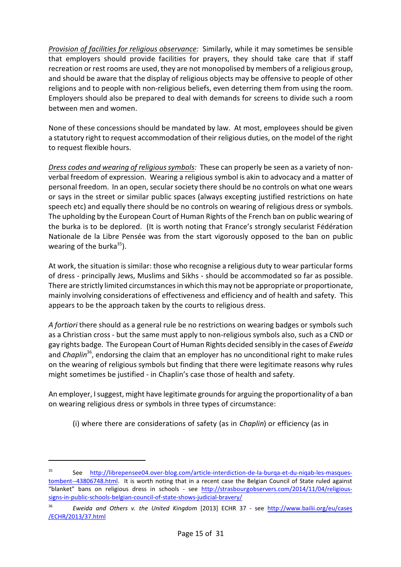*Provision of facilities for religious observance:* Similarly, while it may sometimes be sensible that employers should provide facilities for prayers, they should take care that if staff recreation or rest rooms are used, they are not monopolised by members of a religious group, and should be aware that the display of religious objects may be offensive to people of other religions and to people with non-religious beliefs, even deterring them from using the room. Employers should also be prepared to deal with demands for screens to divide such a room between men and women.

None of these concessions should be mandated by law. At most, employees should be given a statutory right to request accommodation of their religious duties, on the model of the right to request flexible hours.

*Dress codes and wearing of religious symbols:* These can properly be seen as a variety of nonverbal freedom of expression. Wearing a religious symbol is akin to advocacy and a matter of personal freedom. In an open, secular society there should be no controls on what one wears or says in the street or similar public spaces (always excepting justified restrictions on hate speech etc) and equally there should be no controls on wearing of religious dress or symbols. The upholding by the European Court of Human Rights of the French ban on public wearing of the burka is to be deplored. (It is worth noting that France's strongly secularist Fédération Nationale de la Libre Pensée was from the start vigorously opposed to the ban on public wearing of the burka<sup>35</sup>).

At work, the situation is similar: those who recognise a religious duty to wear particular forms of dress - principally Jews, Muslims and Sikhs - should be accommodated so far as possible. There are strictly limited circumstances in which this may not be appropriate or proportionate, mainly involving considerations of effectiveness and efficiency and of health and safety. This appears to be the approach taken by the courts to religious dress.

*A fortiori* there should as a general rule be no restrictions on wearing badges or symbols such as a Christian cross - but the same must apply to non-religious symbols also, such as a CND or gay rights badge. The European Court of Human Rights decided sensibly in the cases of *Eweida* and *Chaplin*<sup>36</sup>, endorsing the claim that an employer has no unconditional right to make rules on the wearing of religious symbols but finding that there were legitimate reasons why rules might sometimes be justified - in Chaplin's case those of health and safety.

An employer, Isuggest, might have legitimate grounds for arguing the proportionality of a ban on wearing religious dress or symbols in three types of circumstance:

(i) where there are considerations of safety (as in *Chaplin*) or efficiency (as in

<sup>35</sup> See [http://librepensee04.over-blog.com/article-interdiction-de-la-burqa-et-du-niqab-les-masques](http://librepensee04.over-blog.com/article-interdiction-de-la-burqa-et-du-niqab-les-masques-)[tombent--43806748.html](http://librepensee04.over-blog.com/article-interdiction-de-la-burqa-et-du-niqab-les-masques-). It is worth noting that in a recent case the Belgian Council of State ruled against "blanket" bans on religious dress in schools - see [http://strasbourgobservers.com/2014/11/04/religious](http://strasbourgobservers.com/2014/11/04/religious-signs-in-public-schools-belgian-council-of-state-shows-judicial-bravery/)[signs-in-public-schools-belgian-council-of-state-shows-judicial-bravery/](http://strasbourgobservers.com/2014/11/04/religious-signs-in-public-schools-belgian-council-of-state-shows-judicial-bravery/)

<sup>36</sup> *Eweida and Others v. the United Kingdom* [2013] ECHR 37 - see [http://www.bailii.org/eu/cases](http://www.bailii.org/eu/cases/ECHR/2013/37.html) [/ECHR/2013/37.html](http://www.bailii.org/eu/cases/ECHR/2013/37.html)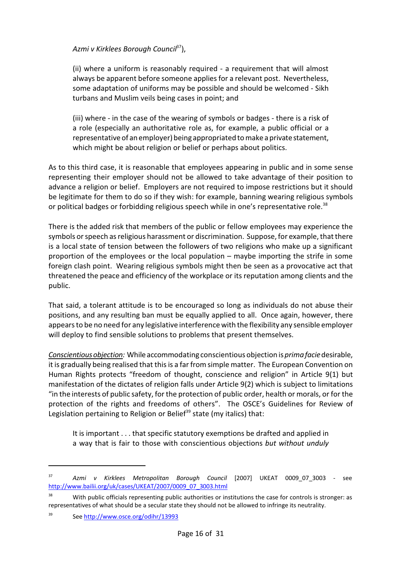### *Azmi v Kirklees Borough Council*<sup>37</sup> ),

(ii) where a uniform is reasonably required - a requirement that will almost always be apparent before someone applies for a relevant post. Nevertheless, some adaptation of uniforms may be possible and should be welcomed - Sikh turbans and Muslim veils being cases in point; and

(iii) where - in the case of the wearing of symbols or badges - there is a risk of a role (especially an authoritative role as, for example, a public official or a representative of an employer) being appropriated to make a privatestatement, which might be about religion or belief or perhaps about politics.

As to this third case, it is reasonable that employees appearing in public and in some sense representing their employer should not be allowed to take advantage of their position to advance a religion or belief. Employers are not required to impose restrictions but it should be legitimate for them to do so if they wish: for example, banning wearing religious symbols or political badges or forbidding religious speech while in one's representative role.<sup>38</sup>

There is the added risk that members of the public or fellow employees may experience the symbols or speech as religious harassment or discrimination. Suppose, for example, that there is a local state of tension between the followers of two religions who make up a significant proportion of the employees or the local population – maybe importing the strife in some foreign clash point. Wearing religious symbols might then be seen as a provocative act that threatened the peace and efficiency of the workplace or its reputation among clients and the public.

That said, a tolerant attitude is to be encouraged so long as individuals do not abuse their positions, and any resulting ban must be equally applied to all. Once again, however, there appears to be no need for any legislative interference with the flexibility any sensible employer will deploy to find sensible solutions to problems that present themselves.

*Conscientiousobjection:* Whileaccommodating conscientious objection is *prima facie*desirable, it is gradually being realised that this is a far from simple matter. The European Convention on Human Rights protects "freedom of thought, conscience and religion" in Article 9(1) but manifestation of the dictates of religion falls under Article 9(2) which is subject to limitations "in the interests of public safety, for the protection of public order, health or morals, or for the protection of the rights and freedoms of others". The OSCE's Guidelines for Review of Legislation pertaining to Religion or Belief<sup>39</sup> state (my italics) that:

It is important . . . that specific statutory exemptions be drafted and applied in a way that is fair to those with conscientious objections *but without unduly*

<sup>37</sup> *Azmi v Kirklees Metropolitan Borough Council* [2007] UKEAT 0009\_07\_3003 - see [http://www.bailii.org/uk/cases/UKEAT/2007/0009\\_07\\_3003.html](http://www.bailii.org/uk/cases/UKEAT/2007/0009_07_3003.html)

With public officials representing public authorities or institutions the case for controls is stronger: as representatives of what should be a secular state they should not be allowed to infringe its neutrality.

<sup>39</sup> See<http://www.osce.org/odihr/13993>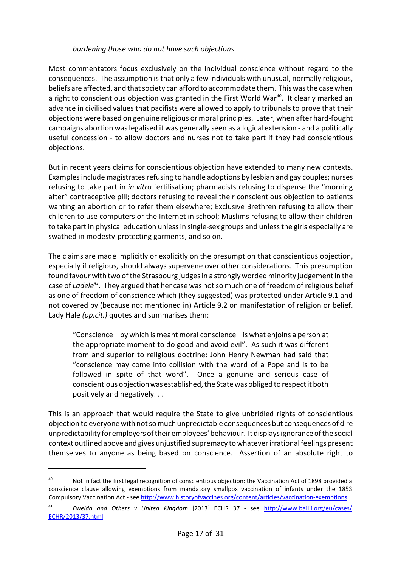#### *burdening those who do not have such objections*.

Most commentators focus exclusively on the individual conscience without regard to the consequences. The assumption is that only a few individuals with unusual, normally religious, beliefs are affected, and that society can afford to accommodate them. This was the case when a right to conscientious objection was granted in the First World War<sup>40</sup>. It clearly marked an advance in civilised values that pacifists were allowed to apply to tribunals to prove that their objections were based on genuine religious or moral principles. Later, when after hard-fought campaigns abortion was legalised it was generally seen as a logical extension - and a politically useful concession - to allow doctors and nurses not to take part if they had conscientious objections.

But in recent years claims for conscientious objection have extended to many new contexts. Examples include magistrates refusing to handle adoptions by lesbian and gay couples; nurses refusing to take part in *in vitro* fertilisation; pharmacists refusing to dispense the "morning after" contraceptive pill; doctors refusing to reveal their conscientious objection to patients wanting an abortion or to refer them elsewhere; Exclusive Brethren refusing to allow their children to use computers or the Internet in school; Muslims refusing to allow their children to take part in physical education unless in single-sex groups and unless the girls especially are swathed in modesty-protecting garments, and so on.

The claims are made implicitly or explicitly on the presumption that conscientious objection, especially if religious, should always supervene over other considerations. This presumption found favour with two of the Strasbourg judges in a strongly worded minority judgement in the case of *Ladele<sup>41</sup> .* They argued that her case was notso much one of freedom of religious belief as one of freedom of conscience which (they suggested) was protected under Article 9.1 and not covered by (because not mentioned in) Article 9.2 on manifestation of religion or belief. Lady Hale *(op.cit.)* quotes and summarises them:

"Conscience – by which is meant moral conscience – is what enjoins a person at the appropriate moment to do good and avoid evil". As such it was different from and superior to religious doctrine: John Henry Newman had said that "conscience may come into collision with the word of a Pope and is to be followed in spite of that word". Once a genuine and serious case of conscientious objectionwasestablished, the State was obliged to respectit both positively and negatively. . .

This is an approach that would require the State to give unbridled rights of conscientious objection to everyone with notso much unpredictable consequences but consequences of dire unpredictability foremployersoftheir employees' behaviour. Itdisplays ignorance ofthe social context outlined above and gives unjustified supremacy to whatever irrational feelings present themselves to anyone as being based on conscience. Assertion of an absolute right to

<sup>&</sup>lt;sup>40</sup> Not in fact the first legal recognition of conscientious objection: the Vaccination Act of 1898 provided a conscience clause allowing exemptions from mandatory smallpox vaccination of infants under the 1853 Compulsory Vaccination Act - see<http://www.historyofvaccines.org/content/articles/vaccination-exemptions>.

<sup>41</sup> *Eweida and Others v United Kingdom* [2013] ECHR 37 - see [http://www.bailii.org/eu/cases/](http://www.bailii.org/eu/cases/ECHR/2013/37.html) [ECHR/2013/37.html](http://www.bailii.org/eu/cases/ECHR/2013/37.html)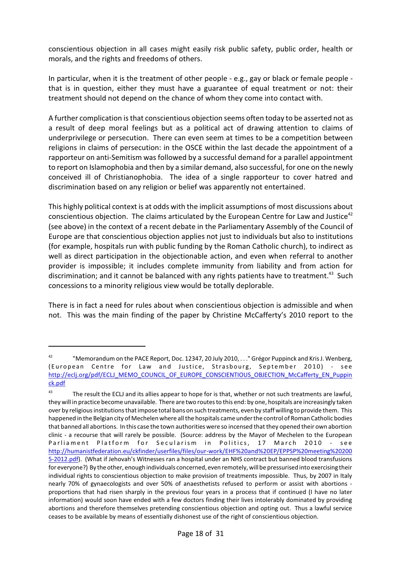conscientious objection in all cases might easily risk public safety, public order, health or morals, and the rights and freedoms of others.

In particular, when it is the treatment of other people - e.g., gay or black or female people that is in question, either they must have a guarantee of equal treatment or not: their treatment should not depend on the chance of whom they come into contact with.

A further complication is that conscientious objection seems often today to be asserted not as a result of deep moral feelings but as a political act of drawing attention to claims of underprivilege or persecution. There can even seem at times to be a competition between religions in claims of persecution: in the OSCE within the last decade the appointment of a rapporteur on anti-Semitism was followed by a successful demand for a parallel appointment to report on Islamophobia and then by a similar demand, also successful, for one on the newly conceived ill of Christianophobia. The idea of a single rapporteur to cover hatred and discrimination based on any religion or belief was apparently not entertained.

This highly political context is at odds with the implicit assumptions of most discussions about conscientious objection. The claims articulated by the European Centre for Law and Justice<sup>42</sup> (see above) in the context of a recent debate in the Parliamentary Assembly of the Council of Europe are that conscientious objection applies not just to individuals but also to institutions (for example, hospitals run with public funding by the Roman Catholic church), to indirect as well as direct participation in the objectionable action, and even when referral to another provider is impossible; it includes complete immunity from liability and from action for discrimination; and it cannot be balanced with any rights patients have to treatment.<sup>43</sup> Such concessions to a minority religious view would be totally deplorable.

There is in fact a need for rules about when conscientious objection is admissible and when not. This was the main finding of the paper by Christine McCafferty's 2010 report to the

<sup>&</sup>lt;sup>42</sup> "Memorandum on the PACE Report, Doc. 12347, 20 July 2010, . . . "Grégor Puppinck and Kris J. Wenberg, (European Centre for Law and Justice, Strasbourg, September 2010) - see [http://eclj.org/pdf/ECLJ\\_MEMO\\_COUNCIL\\_OF\\_EUROPE\\_CONSCIENTIOUS\\_OBJECTION\\_McCafferty\\_EN\\_Puppin](http://eclj.org/pdf/ECLJ_MEMO_COUNCIL_OF_EUROPE_CONSCIENTIOUS_OBJECTION_McCafferty_EN_Puppinck.pdf) [ck.pdf](http://eclj.org/pdf/ECLJ_MEMO_COUNCIL_OF_EUROPE_CONSCIENTIOUS_OBJECTION_McCafferty_EN_Puppinck.pdf)

<sup>&</sup>lt;sup>43</sup> The result the ECLJ and its allies appear to hope for is that, whether or not such treatments are lawful, they will in practice become unavailable. There are two routesto this end: by one, hospitals are increasingly taken over by religiousinstitutionsthat impose total bans on such treatments, even by staff willing to provide them. This happened in the Belgian city of Mechelenwhere all the hospitals came under the control of Roman Catholic bodies that banned all abortions. In this case the town authorities were so incensed that they opened their own abortion clinic - a recourse that will rarely be possible. (Source: address by the Mayor of Mechelen to the European Parliament Platform for Secularism in Politics, 17 March 2010 - see [http://humanistfederation.eu/ckfinder/userfiles/files/our-work/EHF%20and%20EP/EPPSP%20meeting%20200](http://humanistfederation.eu/ckfinder/userfiles/files/our-work/EHF%20and%20EP/EPPSP%20meeting%202005-2012.pdf) [5-2012.pdf](http://humanistfederation.eu/ckfinder/userfiles/files/our-work/EHF%20and%20EP/EPPSP%20meeting%202005-2012.pdf)). (What if Jehovah's Witnesses ran a hospital under an NHS contract but banned blood transfusions for everyone?) By the other, enough individuals concerned, even remotely, will be pressurised into exercising their individual rights to conscientious objection to make provision of treatments impossible. Thus, by 2007 in Italy nearly 70% of gynaecologists and over 50% of anaesthetists refused to perform or assist with abortions proportions that had risen sharply in the previous four years in a process that if continued (I have no later information) would soon have ended with a few doctors finding their lives intolerably dominated by providing abortions and therefore themselves pretending conscientious objection and opting out. Thus a lawful service ceases to be available by means of essentially dishonest use of the right of conscientious objection.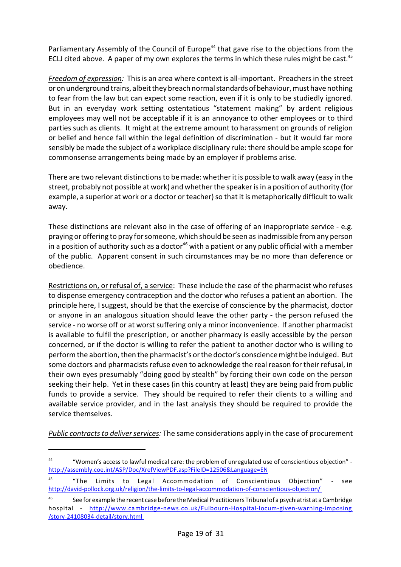Parliamentary Assembly of the Council of Europe<sup>44</sup> that gave rise to the objections from the ECLJ cited above. A paper of my own explores the terms in which these rules might be cast.<sup>45</sup>

*Freedom of expression:* This is an area where context is all-important. Preachers in the street or on underground trains, albeit they breach normal standards of behaviour, must have nothing to fear from the law but can expect some reaction, even if it is only to be studiedly ignored. But in an everyday work setting ostentatious "statement making" by ardent religious employees may well not be acceptable if it is an annoyance to other employees or to third parties such as clients. It might at the extreme amount to harassment on grounds of religion or belief and hence fall within the legal definition of discrimination - but it would far more sensibly be made the subject of a workplace disciplinary rule: there should be ample scope for commonsense arrangements being made by an employer if problems arise.

There are two relevant distinctions to be made: whether it is possible to walk away (easy in the street, probably not possible at work) and whether the speaker is in a position of authority (for example, a superior at work or a doctor or teacher) so that it is metaphorically difficult to walk away.

These distinctions are relevant also in the case of offering of an inappropriate service - e.g. praying or offering to pray for someone, which should be seen as inadmissible from any person in a position of authority such as a doctor<sup>46</sup> with a patient or any public official with a member of the public. Apparent consent in such circumstances may be no more than deference or obedience.

Restrictions on, or refusal of, a service: These include the case of the pharmacist who refuses to dispense emergency contraception and the doctor who refuses a patient an abortion. The principle here, I suggest, should be that the exercise of conscience by the pharmacist, doctor or anyone in an analogous situation should leave the other party - the person refused the service - no worse off or at worst suffering only a minor inconvenience. If another pharmacist is available to fulfil the prescription, or another pharmacy is easily accessible by the person concerned, or if the doctor is willing to refer the patient to another doctor who is willing to perform the abortion, then the pharmacist's or the doctor's conscience might be indulged. But some doctors and pharmacists refuse even to acknowledge the real reason for their refusal, in their own eyes presumably "doing good by stealth" by forcing their own code on the person seeking their help. Yet in these cases (in this country at least) they are being paid from public funds to provide a service. They should be required to refer their clients to a willing and available service provider, and in the last analysis they should be required to provide the service themselves.

*Public contracts to deliver services:* The same considerations apply in the case of procurement

<sup>44</sup> "Women's access to lawful medical care: the problem of unregulated use of conscientious objection" <http://assembly.coe.int/ASP/Doc/XrefViewPDF.asp?FileID=12506&Language=EN>

<sup>45</sup> "The Limits to Legal Accommodation of Conscientious Objection" - see [http://david-pollock.org.uk/religion/the-limits-to-legal-accommodation-of-conscientious-objection/](http://david-pollock.org.uk/religion/the-limits-to-legal-accommodation-of-conscientious-objection/%20) 

<sup>&</sup>lt;sup>46</sup> See for example the recent case before the Medical Practitioners Tribunal of a psychiatrist at a Cambridge hospital - [http://www.cambridge-news.co.uk/Fulbourn-Hospital-locum-given-warning-imposing](http://www.cambridge-news.co.uk/Fulbourn-Hospital-locum-given-warning-imposing/story-24108034-detail/story.html%20) [/story-24108034-detail/story.html](http://www.cambridge-news.co.uk/Fulbourn-Hospital-locum-given-warning-imposing/story-24108034-detail/story.html%20)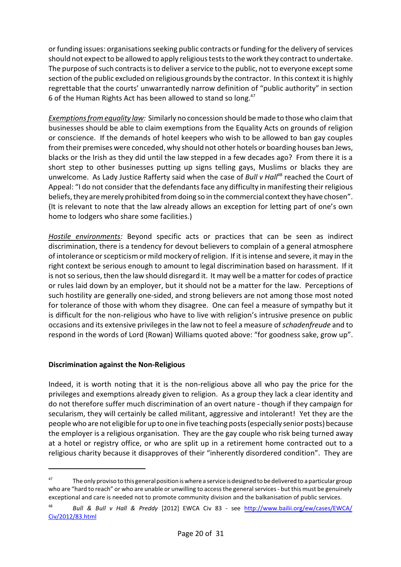or funding issues: organisations seeking public contracts or funding for the delivery of services should not expect to be allowed to apply religious tests to the work they contract to undertake. The purpose of such contracts is to deliver a service to the public, not to everyone except some section of the public excluded on religious grounds by the contractor. In this context it is highly regrettable that the courts' unwarrantedly narrow definition of "public authority" in section 6 of the Human Rights Act has been allowed to stand so long.<sup>47</sup>

*Exemptions from equality law:* Similarly no concession should be made to those who claim that businesses should be able to claim exemptions from the Equality Acts on grounds of religion or conscience. If the demands of hotel keepers who wish to be allowed to ban gay couples from their premises were conceded, why should not other hotels or boarding houses ban Jews, blacks or the Irish as they did until the law stepped in a few decades ago? From there it is a short step to other businesses putting up signs telling gays, Muslims or blacks they are unwelcome. As Lady Justice Rafferty said when the case of *Bull v Hall<sup>48</sup>* reached the Court of Appeal: "I do not consider that the defendants face any difficulty in manifesting their religious beliefs, they are merely prohibited from doing so in the commercial context they have chosen". (It is relevant to note that the law already allows an exception for letting part of one's own home to lodgers who share some facilities.)

*Hostile environments:* Beyond specific acts or practices that can be seen as indirect discrimination, there is a tendency for devout believers to complain of a general atmosphere of intolerance or scepticism or mild mockery ofreligion. If itis intense and severe, it may in the right context be serious enough to amount to legal discrimination based on harassment. If it is not so serious, then the law should disregard it. It may well be a matter for codes of practice or rules laid down by an employer, but it should not be a matter for the law. Perceptions of such hostility are generally one-sided, and strong believers are not among those most noted for tolerance of those with whom they disagree. One can feel a measure of sympathy but it is difficult for the non-religious who have to live with religion's intrusive presence on public occasions and its extensive privileges in the law not to feel a measure of *schadenfreude* and to respond in the words of Lord (Rowan) Williams quoted above: "for goodness sake, grow up".

#### **Discrimination against the Non-Religious**

Indeed, it is worth noting that it is the non-religious above all who pay the price for the privileges and exemptions already given to religion. As a group they lack a clear identity and do not therefore suffer much discrimination of an overt nature - though if they campaign for secularism, they will certainly be called militant, aggressive and intolerant! Yet they are the people who are not eligible for up to one in five teaching posts (especially senior posts) because the employer is a religious organisation. They are the gay couple who risk being turned away at a hotel or registry office, or who are split up in a retirement home contracted out to a religious charity because it disapproves of their "inherently disordered condition". They are

The only proviso to this general position is where a service is designed to be delivered to a particular group who are "hard to reach" or who are unable or unwilling to access the general services - but this must be genuinely exceptional and care is needed not to promote community division and the balkanisation of public services.

<sup>48</sup> *Bull & Bull v Hall & Preddy* [2012] EWCA Civ 83 - see [http://www.bailii.org/ew/cases/EWCA/](http://www.bailii.org/ew/cases/EWCA/Civ/2012/83.html) [Civ/2012/83.html](http://www.bailii.org/ew/cases/EWCA/Civ/2012/83.html)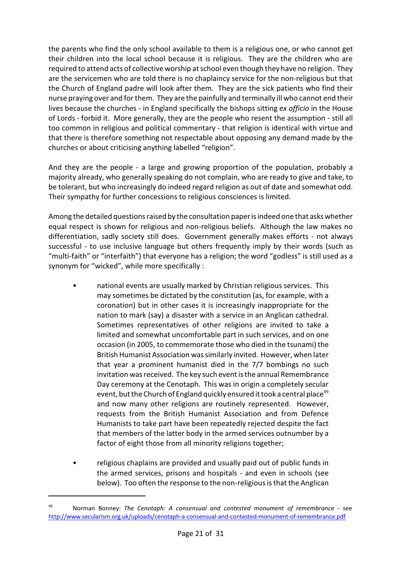the parents who find the only school available to them is a religious one, or who cannot get their children into the local school because it is religious. They are the children who are required to attend acts of collective worship atschool even though they have no religion. They are the servicemen who are told there is no chaplaincy service for the non-religious but that the Church of England padre will look after them. They are the sick patients who find their nurse praying over and for them. They are the painfully and terminally ill who cannot end their lives because the churches - in England specifically the bishops sitting *ex officio* in the House of Lords - forbid it. More generally, they are the people who resent the assumption - still all too common in religious and political commentary - that religion is identical with virtue and that there is therefore something not respectable about opposing any demand made by the churches or about criticising anything labelled "religion".

And they are the people - a large and growing proportion of the population, probably a majority already, who generally speaking do not complain, who are ready to give and take, to be tolerant, but who increasingly do indeed regard religion as out of date and somewhat odd. Their sympathy for further concessions to religious consciences is limited.

Among the detailed questions raised by the consultation paper is indeed one that asks whether equal respect is shown for religious and non-religious beliefs. Although the law makes no differentiation, sadly society still does. Government generally makes efforts - not always successful - to use inclusive language but others frequently imply by their words (such as "multi-faith" or "interfaith") that everyone has a religion; the word "godless" is still used as a synonym for "wicked", while more specifically :

- national events are usually marked by Christian religious services. This may sometimes be dictated by the constitution (as, for example, with a coronation) but in other cases it is increasingly inappropriate for the nation to mark (say) a disaster with a service in an Anglican cathedral. Sometimes representatives of other religions are invited to take a limited and somewhat uncomfortable part in such services, and on one occasion (in 2005, to commemorate those who died in the tsunami) the British Humanist Association was similarly invited. However, when later that year a prominent humanist died in the 7/7 bombings no such invitation was received. The key such event is the annual Remembrance Day ceremony at the Cenotaph. This was in origin a completely secular event, but the Church of England quickly ensured it took a central place<sup>49</sup> and now many other religions are routinely represented. However, requests from the British Humanist Association and from Defence Humanists to take part have been repeatedly rejected despite the fact that members of the latter body in the armed services outnumber by a factor of eight those from all minority religions together;
- religious chaplains are provided and usually paid out of public funds in the armed services, prisons and hospitals - and even in schools (see below). Too often the response to the non-religious is that the Anglican

<sup>49</sup> Norman Bonney: *The Cenotaph: A consensual and contested monument of remembrance -* see [http://www.secularism.org.uk/uploads/cenotaph-a-consensual-and-contested-monument-of-remembrance.pdf](http://www.secularism.org.uk/uploads/cenotaph-a-consensual-and-contested-monument-of-remembrance.pdf%20)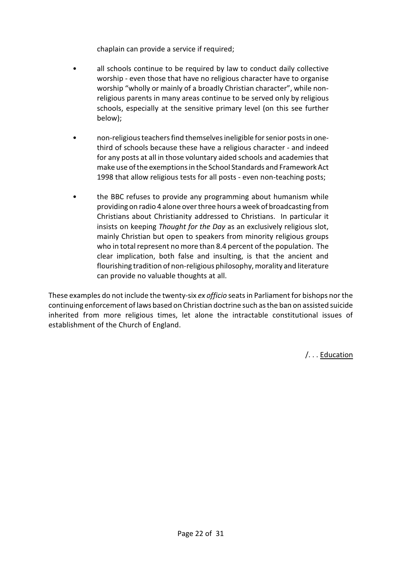chaplain can provide a service if required;

- all schools continue to be required by law to conduct daily collective worship - even those that have no religious character have to organise worship "wholly or mainly of a broadly Christian character", while nonreligious parents in many areas continue to be served only by religious schools, especially at the sensitive primary level (on this see further below);
- non-religious teachers find themselves ineligible for senior posts in onethird of schools because these have a religious character - and indeed for any posts at all in those voluntary aided schools and academies that make use ofthe exemptions in the School Standards and Framework Act 1998 that allow religious tests for all posts - even non-teaching posts;
- the BBC refuses to provide any programming about humanism while providing on radio 4 alone over three hours a week of broadcasting from Christians about Christianity addressed to Christians. In particular it insists on keeping *Thought for the Day* as an exclusively religious slot, mainly Christian but open to speakers from minority religious groups who in total represent no more than 8.4 percent of the population. The clear implication, both false and insulting, is that the ancient and flourishing tradition of non-religious philosophy, morality and literature can provide no valuable thoughts at all.

These examples do not include the twenty-six *ex officio* seats in Parliament for bishops nor the continuing enforcement of laws based on Christian doctrine such as the ban on assisted suicide inherited from more religious times, let alone the intractable constitutional issues of establishment of the Church of England.

/. . . Education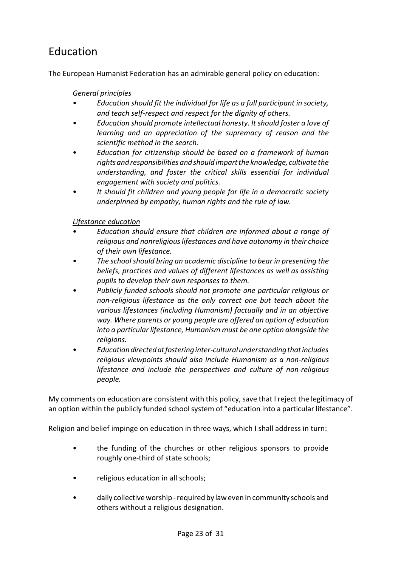# Education

The European Humanist Federation has an admirable general policy on education:

#### *General principles*

- *Education should fit the individual for life as a full participant in society, and teach self-respect and respect for the dignity of others.*
- *Education should promote intellectual honesty. Itshould foster a love of learning and an appreciation of the supremacy of reason and the scientific method in the search.*
- *Education for citizenship should be based on a framework of human rights and responsibilities and should impartthe knowledge, cultivate the understanding, and foster the critical skills essential for individual engagement with society and politics.*
- *It should fit children and young people for life in a democratic society underpinned by empathy, human rights and the rule of law.*

### *Lifestance education*

- *Education should ensure that children are informed about a range of religious and nonreligious lifestances and have autonomy in their choice of their own lifestance.*
- *The school should bring an academic discipline to bear in presenting the beliefs, practices and values of different lifestances as well as assisting pupils to develop their own responses to them.*
- *Publicly funded schools should not promote one particular religious or non-religious lifestance as the only correct one but teach about the various lifestances (including Humanism) factually and in an objective way. Where parents or young people are offered an option of education into a particular lifestance, Humanism must be one option alongside the religions.*
- *Educationdirectedatfostering inter-cultural understanding thatincludes religious viewpoints should also include Humanism as a non-religious lifestance and include the perspectives and culture of non-religious people.*

My comments on education are consistent with this policy, save that I reject the legitimacy of an option within the publicly funded school system of "education into a particular lifestance".

Religion and belief impinge on education in three ways, which I shall address in turn:

- the funding of the churches or other religious sponsors to provide roughly one-third of state schools;
- religious education in all schools;
- daily collective worship required by laweven in community schools and others without a religious designation.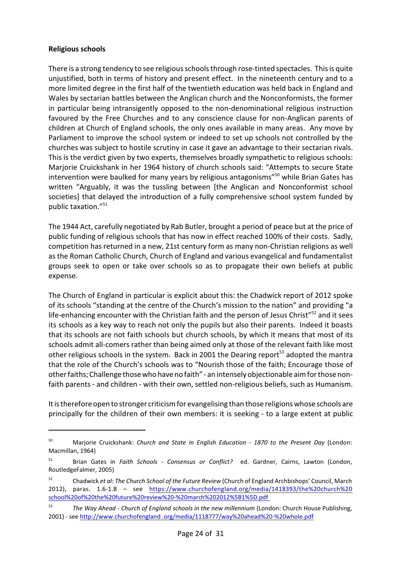#### **Religious schools**

There is a strong tendency to see religious schools through rose-tinted spectacles. This is quite unjustified, both in terms of history and present effect. In the nineteenth century and to a more limited degree in the first half of the twentieth education was held back in England and Wales by sectarian battles between the Anglican church and the Nonconformists, the former in particular being intransigently opposed to the non-denominational religious instruction favoured by the Free Churches and to any conscience clause for non-Anglican parents of children at Church of England schools, the only ones available in many areas. Any move by Parliament to improve the school system or indeed to set up schools not controlled by the churches was subject to hostile scrutiny in case it gave an advantage to their sectarian rivals. This is the verdict given by two experts, themselves broadly sympathetic to religious schools: Marjorie Cruickshank in her 1964 history of church schools said: "Attempts to secure State intervention were baulked for many years by religious antagonisms"<sup>50</sup> while Brian Gates has written "Arguably, it was the tussling between [the Anglican and Nonconformist school societies] that delayed the introduction of a fully comprehensive school system funded by public taxation."<sup>51</sup>

The 1944 Act, carefully negotiated by Rab Butler, brought a period of peace but at the price of public funding of religious schools that has now in effect reached 100% of their costs. Sadly, competition has returned in a new, 21st century form as many non-Christian religions as well as the Roman Catholic Church, Church of England and various evangelical and fundamentalist groups seek to open or take over schools so as to propagate their own beliefs at public expense.

The Church of England in particular is explicit about this: the Chadwick report of 2012 spoke of its schools "standing at the centre of the Church's mission to the nation" and providing "a life-enhancing encounter with the Christian faith and the person of Jesus Christ"<sup>52</sup> and it sees its schools as a key way to reach not only the pupils but also their parents. Indeed it boasts that its schools are not faith schools but church schools, by which it means that most of its schools admit all-comers rather than being aimed only at those of the relevant faith like most other religious schools in the system. Back in 2001 the Dearing report<sup>53</sup> adopted the mantra that the role of the Church's schools was to "Nourish those of the faith; Encourage those of other faiths; Challenge those who have no faith" - an intensely objectionable aim for those nonfaith parents - and children - with their own, settled non-religious beliefs, such as Humanism.

Itis therefore open to stronger criticism for evangelising than those religions whose schools are principally for the children of their own members: it is seeking - to a large extent at public

<sup>50</sup> Marjorie Cruickshank: *Church and State in English Education - 1870 to the Present Day* (London: Macmillan, 1964)

<sup>51</sup> Brian Gates in *Faith Schools - Consensus or Conflict?* ed. Gardner, Cairns, Lawton (London, RoutledgeFalmer, 2005)

<sup>52</sup> Chadwick *et al*: *The Church School of the Future Review* (Church of England Archbishops' Council, March 2012), paras. 1.6-1.8 – see [https://www.churchofengland.org/media/1418393/the%20church%20](https://www.churchofengland.org/media/1418393/the%20church%20school%20of%20the%20future%20review%20-%20march%202012%5B1%5D.pdf) [school%20of%20the%20future%20review%20-%20march%202012%5B1%5D.pdf](https://www.churchofengland.org/media/1418393/the%20church%20school%20of%20the%20future%20review%20-%20march%202012%5B1%5D.pdf) 

<sup>53</sup> *The Way Ahead - Church of England schools in the new millennium* (London: Church House Publishing, 2001) - see [http://www.churchofengland .org/media/1118777/way%20ahead%20-%20whole.pdf](http://www.churchofengland.org/media/1118777/way%20ahead%20-%20whole.pdf)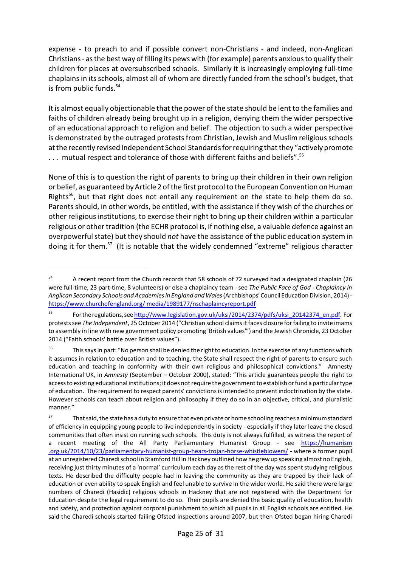expense - to preach to and if possible convert non-Christians - and indeed, non-Anglican Christians - as the best way of filling its pews with (for example) parents anxious to qualify their children for places at oversubscribed schools. Similarly it is increasingly employing full-time chaplains in its schools, almost all of whom are directly funded from the school's budget, that is from public funds.<sup>54</sup>

It is almost equally objectionable that the power of the state should be lent to the families and faiths of children already being brought up in a religion, denying them the wider perspective of an educational approach to religion and belief. The objection to such a wider perspective is demonstrated by the outraged protests from Christian, Jewish and Muslim religious schools atthe recently revised Independent School Standards for requiring thatthey "actively promote ... mutual respect and tolerance of those with different faiths and beliefs".<sup>55</sup>

None of this is to question the right of parents to bring up their children in their own religion or belief, as guaranteed by Article 2 of the first protocol to the European Convention on Human Rights<sup>56</sup>, but that right does not entail any requirement on the state to help them do so. Parents should, in other words, be entitled, with the assistance if they wish of the churches or other religious institutions, to exercise their right to bring up their children within a particular religious or other tradition (the ECHR protocol is, if nothing else, a valuable defence against an overpowerful state) but they should *not* have the assistance of the public education system in doing it for them.<sup>57</sup> (It is notable that the widely condemned "extreme" religious character

<sup>&</sup>lt;sup>54</sup> A recent report from the Church records that 58 schools of 72 surveyed had a designated chaplain (26 were full-time, 23 part-time, 8 volunteers) or else a chaplaincy team - see *The Public Face of God - Chaplaincy in Anglican Secondary Schools and Academies in England and Wales* (Archbishops'Council EducationDivision, 2014) [https://www.churchofengland.org/ media/1989177/nschaplaincyreport.pdf](https://www.churchofengland.org/media/1989177/nschaplaincyreport.pdf)

<sup>55</sup> Fortheregulations,see [http://www.legislation.gov.uk/uksi/2014/2374/pdfs/uksi\\_20142374\\_en.pdf.](http://www.legislation.gov.uk/uksi/2014/2374/pdfs/uksi_20142374_en.pdf) For protestssee *The Independent*, 25 October 2014 ("Christian school claimsit faces closure for failing to invite imams to assembly in line with new government policy promoting 'British values'") and the Jewish Chronicle, 23 October 2014 ("Faith schools' battle over British values").

<sup>&</sup>lt;sup>56</sup> This says in part: "No person shall be denied the right to education. In the exercise of any functions which it assumes in relation to education and to teaching, the State shall respect the right of parents to ensure such education and teaching in conformity with their own religious and philosophical convictions." Amnesty International UK, in *Amnesty* (September – October 2000), stated: "This article guarantees people the right to accessto existing educational institutions; it does not require the government to establish or fund a particular type of education. The requirement to respect parents' convictionsisintended to prevent indoctrination by the state. However schools can teach about religion and philosophy if they do so in an objective, critical, and pluralistic manner."

<sup>&</sup>lt;sup>57</sup> That said, the state has a duty to ensure that even private or home schooling reaches a minimum standard of efficiency in equipping young people to live independently in society - especially if they later leave the closed communities that often insist on running such schools. This duty is not always fulfilled, as witness the report of a recent meeting of the All Party Parliamentary Humanist Group - see [https://humanism](https://humanism.org.uk/2014/10/23/parliamentary-humanist-group-hears-trojan-horse-whistleblowers/) [.org.uk/2014/10/23/parliamentary-humanist-group-hears-trojan-horse-whistleblowers/](https://humanism.org.uk/2014/10/23/parliamentary-humanist-group-hears-trojan-horse-whistleblowers/) - where a former pupil at an unregistered Charedi school in Stamford Hill in Hackney outlined how he grew up speaking almost no English, receiving just thirty minutes of a 'normal' curriculum each day asthe rest of the day was spent studying religious texts. He described the difficulty people had in leaving the community as they are trapped by their lack of education or even ability to speak English and feel unable to survive in the wider world. He said there were large numbers of Charedi (Hasidic) religious schools in Hackney that are not registered with the Department for Education despite the legal requirement to do so. Their pupils are denied the basic quality of education, health and safety, and protection against corporal punishment to which all pupils in all English schools are entitled. He said the Charedi schools started failing Ofsted inspections around 2007, but then Ofsted began hiring Charedi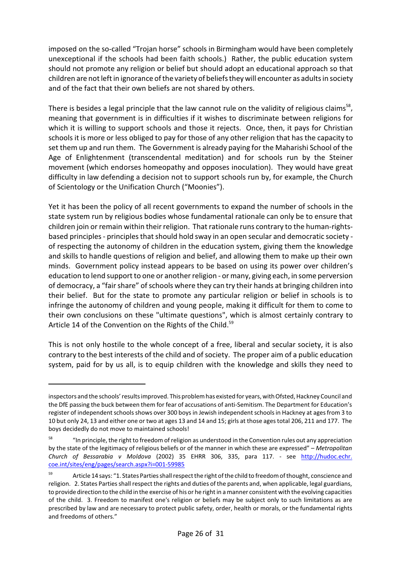imposed on the so-called "Trojan horse" schools in Birmingham would have been completely unexceptional if the schools had been faith schools.) Rather, the public education system should not promote any religion or belief but should adopt an educational approach so that children are notleftin ignorance ofthe variety of beliefs they will encounter as adults in society and of the fact that their own beliefs are not shared by others.

There is besides a legal principle that the law cannot rule on the validity of religious claims<sup>58</sup>, meaning that government is in difficulties if it wishes to discriminate between religions for which it is willing to support schools and those it rejects. Once, then, it pays for Christian schools it is more or less obliged to pay for those of any other religion that has the capacity to set them up and run them. The Government is already paying for the Maharishi School of the Age of Enlightenment (transcendental meditation) and for schools run by the Steiner movement (which endorses homeopathy and opposes inoculation). They would have great difficulty in law defending a decision not to support schools run by, for example, the Church of Scientology or the Unification Church ("Moonies").

Yet it has been the policy of all recent governments to expand the number of schools in the state system run by religious bodies whose fundamental rationale can only be to ensure that children join or remain within their religion. That rationale runs contrary to the human-rightsbased principles - principles that should hold sway in an open secular and democratic society of respecting the autonomy of children in the education system, giving them the knowledge and skills to handle questions of religion and belief, and allowing them to make up their own minds. Government policy instead appears to be based on using its power over children's education to lend support to one or another religion - or many, giving each, in some perversion of democracy, a "fair share" of schools where they can try their hands at bringing children into their belief. But for the state to promote any particular religion or belief in schools is to infringe the autonomy of children and young people, making it difficult for them to come to their own conclusions on these "ultimate questions", which is almost certainly contrary to Article 14 of the Convention on the Rights of the Child.<sup>59</sup>

This is not only hostile to the whole concept of a free, liberal and secular society, it is also contrary to the best interests of the child and of society. The proper aim of a public education system, paid for by us all, is to equip children with the knowledge and skills they need to

inspectors and the schools' resultsimproved. This problemhas existed for years, withOfsted, Hackney Council and the DfE passing the buck between them for fear of accusations of anti-Semitism. The Department for Education's register of independent schools shows over 300 boys in Jewish independent schools in Hackney at ages from 3 to 10 but only 24, 13 and either one or two at ages 13 and 14 and 15; girls at those agestotal 206, 211 and 177. The boys decidedly do not move to maintained schools!

<sup>&</sup>lt;sup>58</sup> "In principle, the right to freedom of religion as understood in the Convention rules out any appreciation by the state of the legitimacy of religious beliefs or of the manner in which these are expressed" – *Metropolitan Church of Bessarabia v Moldova* (2002) 35 EHRR 306, 335, para 117. - see [http://hudoc.echr.](http://hudoc.echr.coe.int/sites/eng/pages/search.aspx?i=001-59985) [coe.int/sites/eng/pages/search.aspx?i=001-59985](http://hudoc.echr.coe.int/sites/eng/pages/search.aspx?i=001-59985)

<sup>59</sup> Article 14 says: "1. States Parties shall respect the right of the child to freedom of thought, conscience and religion. 2. States Parties shall respect the rights and duties of the parents and, when applicable, legal guardians, to provide direction to the child in the exercise of his or he right in a manner consistent with the evolving capacities of the child. 3. Freedom to manifest one's religion or beliefs may be subject only to such limitations as are prescribed by law and are necessary to protect public safety, order, health or morals, or the fundamental rights and freedoms of others."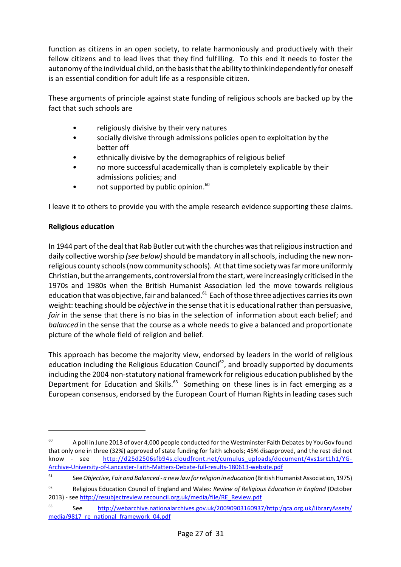function as citizens in an open society, to relate harmoniously and productively with their fellow citizens and to lead lives that they find fulfilling. To this end it needs to foster the autonomy of the individual child, on the basis that the ability to think independently for oneself is an essential condition for adult life as a responsible citizen.

These arguments of principle against state funding of religious schools are backed up by the fact that such schools are

- religiously divisive by their very natures
- socially divisive through admissions policies open to exploitation by the better off
- ethnically divisive by the demographics of religious belief
- no more successful academically than is completely explicable by their admissions policies; and
- not supported by public opinion.<sup>60</sup>

I leave it to others to provide you with the ample research evidence supporting these claims.

### **Religious education**

In 1944 part of the deal that Rab Butler cut with the churches was that religious instruction and daily collective worship *(see below)*should be mandatory in all schools, including the new nonreligious county schools (now community schools). At that time society was far more uniformly Christian, butthe arrangements, controversial from the start, were increasingly criticised in the 1970s and 1980s when the British Humanist Association led the move towards religious education that was objective, fair and balanced.<sup>61</sup> Each of those three adjectives carries its own weight: teaching should be *objective* in the sense that it is educational rather than persuasive, *fair* in the sense that there is no bias in the selection of information about each belief; and *balanced* in the sense that the course as a whole needs to give a balanced and proportionate picture of the whole field of religion and belief.

This approach has become the majority view, endorsed by leaders in the world of religious education including the Religious Education Council<sup>62</sup>, and broadly supported by documents including the 2004 non-statutory national framework for religious education published by the Department for Education and Skills.<sup>63</sup> Something on these lines is in fact emerging as a European consensus, endorsed by the European Court of Human Rights in leading cases such

<sup>&</sup>lt;sup>60</sup> A poll in June 2013 of over 4,000 people conducted for the Westminster Faith Debates by YouGov found that only one in three (32%) approved of state funding for faith schools; 45% disapproved, and the rest did not know - see [http://d25d2506sfb94s.cloudfront.net/cumulus\\_uploads/document/4vs1srt1h1/YG-](http://d25d2506sfb94s.cloudfront.net/cumulus_uploads/document/4vs1srt1h1/YG-Archive-University-of-Lancaster-Faith-Matters-Debate-full-results-180613-website.pdf)[Archive-University-of-Lancaster-Faith-Matters-Debate-full-results-180613-website.pdf](http://d25d2506sfb94s.cloudfront.net/cumulus_uploads/document/4vs1srt1h1/YG-Archive-University-of-Lancaster-Faith-Matters-Debate-full-results-180613-website.pdf)

<sup>61</sup> See *Objective, Fair and Balanced - a new law forreligion in education* (BritishHumanist Association, 1975)

<sup>62</sup> Religious Education Council of England and Wales: *Review of Religious Education in England* (October 2013) - see [http://resubjectreview.recouncil.org.uk/media/file/RE\\_Review.pdf](http://resubjectreview.recouncil.org.uk/media/file/RE_Review.pdf)

<sup>63</sup> See [http://webarchive.nationalarchives.gov.uk/20090903160937/http:/qca.org.uk/libraryAssets/](http://webarchive.nationalarchives.gov.uk/20090903160937/http:/qca.org.uk/libraryAssets/media/9817_re_national_framework_04.pdf) [media/9817\\_re\\_national\\_framework\\_04.pdf](http://webarchive.nationalarchives.gov.uk/20090903160937/http:/qca.org.uk/libraryAssets/media/9817_re_national_framework_04.pdf)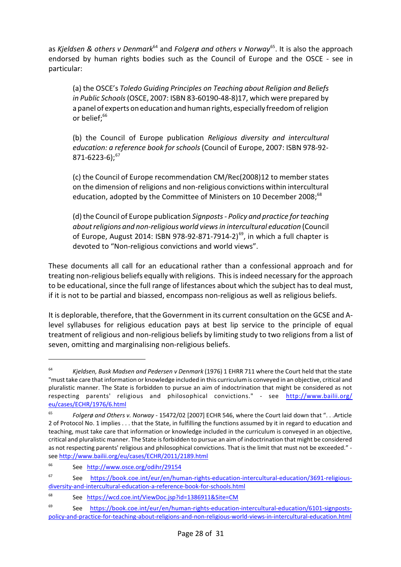as *Kjeldsen & others v Denmark<sup>64</sup> and Folgerø and others v Norway<sup>65</sup>. It is also the approach* endorsed by human rights bodies such as the Council of Europe and the OSCE - see in particular:

(a) the OSCE's *Toledo Guiding Principles on Teaching about Religion and Beliefs in Public Schools*(OSCE, 2007: ISBN 83-60190-48-8)17, which were prepared by a panel of experts oneducation and human rights, especially freedom ofreligion or belief; 66

(b) the Council of Europe publication *Religious diversity and intercultural education: a reference book for schools* (Council of Europe, 2007: ISBN 978-92-  $871-6223-6$ :<sup>67</sup>

(c) the Council of Europe recommendation CM/Rec(2008)12 to member states on the dimension of religions and non-religious convictions within intercultural education, adopted by the Committee of Ministers on 10 December 2008;<sup>68</sup>

(d) the Council of Europe publication *Signposts - Policy and practice for teaching aboutreligions and non-religious world views in intercultural education* (Council of Europe, August 2014: ISBN 978-92-871-7914-2)<sup>69</sup>, in which a full chapter is devoted to "Non-religious convictions and world views".

These documents all call for an educational rather than a confessional approach and for treating non-religious beliefs equally with religions. This is indeed necessary for the approach to be educational, since the full range of lifestances about which the subject has to deal must, if it is not to be partial and biassed, encompass non-religious as well as religious beliefs.

It is deplorable, therefore, that the Government in its current consultation on the GCSE and Alevel syllabuses for religious education pays at best lip service to the principle of equal treatment of religious and non-religious beliefs by limiting study to two religions from a list of seven, omitting and marginalising non-religious beliefs.

<sup>64</sup> *Kjeldsen, Busk Madsen and Pedersen v Denmark* (1976) 1 EHRR 711 where the Court held that the state "must take care that information or knowledge included in this curriculumis conveyed in an objective, critical and pluralistic manner. The State is forbidden to pursue an aim of indoctrination that might be considered as not respecting parents' religious and philosophical convictions." - see [http://www.bailii.org/](http://www.bailii.org/eu/cases/ECHR/1976/6.html) [eu/cases/ECHR/1976/6.html](http://www.bailii.org/eu/cases/ECHR/1976/6.html)

<sup>65</sup> *Folgerø and Others v. Norway* - 15472/02 [2007] ECHR 546, where the Court laid down that ". . .Article 2 of Protocol No. 1 implies . . . that the State, in fulfilling the functions assumed by it in regard to education and teaching, must take care that information or knowledge included in the curriculum is conveyed in an objective, critical and pluralistic manner. The State isforbidden to pursue an aim of indoctrination that might be considered as not respecting parents' religious and philosophical convictions. That is the limit that must not be exceeded." see <http://www.bailii.org/eu/cases/ECHR/2011/2189.html>

<sup>66</sup> See <http://www.osce.org/odihr/29154>

<sup>67</sup> See [https://book.coe.int/eur/en/human-rights-education-intercultural-education/3691-religious](https://book.coe.int/eur/en/human-rights-education-intercultural-education/3691-religious-diversity-and-intercultural-education-a-reference-book-for-schools.html)[diversity-and-intercultural-education-a-reference-book-for-schools.html](https://book.coe.int/eur/en/human-rights-education-intercultural-education/3691-religious-diversity-and-intercultural-education-a-reference-book-for-schools.html)

<sup>68</sup> See <https://wcd.coe.int/ViewDoc.jsp?id=1386911&Site=CM>

<sup>69</sup> See [https://book.coe.int/eur/en/human-rights-education-intercultural-education/6101-signposts](https://book.coe.int/eur/en/human-rights-education-intercultural-education/6101-signposts-policy-and-practice-for-teaching-about-religions-and-non-religious-world-views-in-intercultural-education.html)[policy-and-practice-for-teaching-about-religions-and-non-religious-world-views-in-intercultural-education.html](https://book.coe.int/eur/en/human-rights-education-intercultural-education/6101-signposts-policy-and-practice-for-teaching-about-religions-and-non-religious-world-views-in-intercultural-education.html)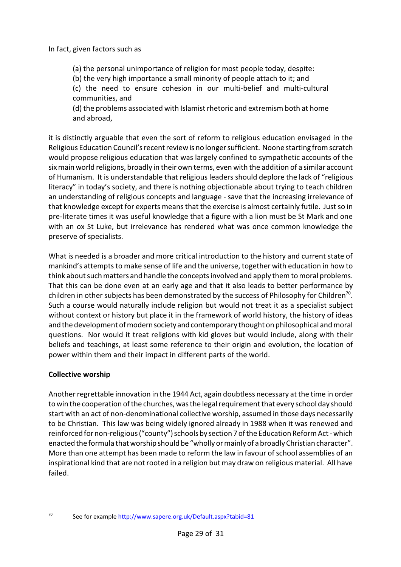#### In fact, given factors such as

(a) the personal unimportance of religion for most people today, despite:

(b) the very high importance a small minority of people attach to it; and

(c) the need to ensure cohesion in our multi-belief and multi-cultural communities, and

(d) the problems associated with Islamistrhetoric and extremism both at home and abroad,

it is distinctly arguable that even the sort of reform to religious education envisaged in the Religious Education Council's recent review is no longer sufficient. Noone starting from scratch would propose religious education that was largely confined to sympathetic accounts of the six main world religions, broadly in their own terms, even with the addition of a similar account of Humanism. It is understandable that religious leaders should deplore the lack of "religious literacy" in today's society, and there is nothing objectionable about trying to teach children an understanding of religious concepts and language - save that the increasing irrelevance of that knowledge except for experts means that the exercise is almost certainly futile. Justso in pre-literate times it was useful knowledge that a figure with a lion must be St Mark and one with an ox St Luke, but irrelevance has rendered what was once common knowledge the preserve of specialists.

What is needed is a broader and more critical introduction to the history and current state of mankind's attempts to make sense of life and the universe, together with education in how to think about such matters and handle the concepts involved and apply them to moral problems. That this can be done even at an early age and that it also leads to better performance by children in other subjects has been demonstrated by the success of Philosophy for Children<sup>70</sup>. Such a course would naturally include religion but would not treat it as a specialist subject without context or history but place it in the framework of world history, the history of ideas and the development of modern society and contemporary thought on philosophical and moral questions. Nor would it treat religions with kid gloves but would include, along with their beliefs and teachings, at least some reference to their origin and evolution, the location of power within them and their impact in different parts of the world.

#### **Collective worship**

Another regrettable innovation in the 1944 Act, again doubtless necessary at the time in order to win the cooperation ofthe churches, was the legal requirementthat every school day should start with an act of non-denominational collective worship, assumed in those days necessarily to be Christian. This law was being widely ignored already in 1988 when it was renewed and reinforced for non-religious ("county") schools by section 7 ofthe Education Reform Act- which enacted the formula that worship should be "wholly or mainly of a broadly Christian character". More than one attempt has been made to reform the law in favour of school assemblies of an inspirational kind that are notrooted in a religion but may draw on religious material. All have failed.

 $70$  See for example<http://www.sapere.org.uk/Default.aspx?tabid=81>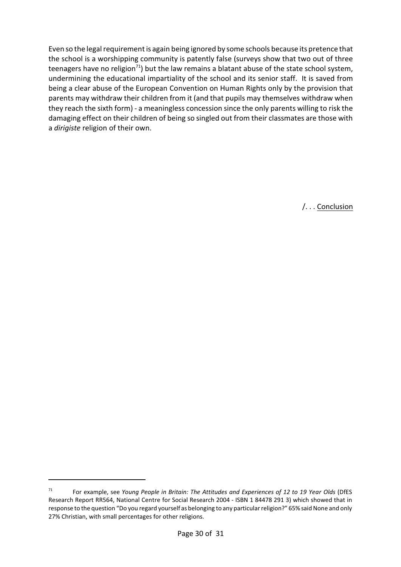Even so the legal requirementis again being ignored by some schools because its pretence that the school is a worshipping community is patently false (surveys show that two out of three teenagers have no religion<sup>71</sup>) but the law remains a blatant abuse of the state school system, undermining the educational impartiality of the school and its senior staff. It is saved from being a clear abuse of the European Convention on Human Rights only by the provision that parents may withdraw their children from it (and that pupils may themselves withdraw when they reach the sixth form) - a meaningless concession since the only parents willing to risk the damaging effect on their children of being so singled out from their classmates are those with a *dirigiste* religion of their own.

/. . . Conclusion

<sup>71</sup> For example, see *Young People in Britain: The Attitudes and Experiences of 12 to 19 Year Olds* (DfES Research Report RR564, National Centre for Social Research 2004 - ISBN 1 84478 291 3) which showed that in response to the question "Do you regard yourself as belonging to any particular religion?" 65% said None and only 27% Christian, with small percentages for other religions.